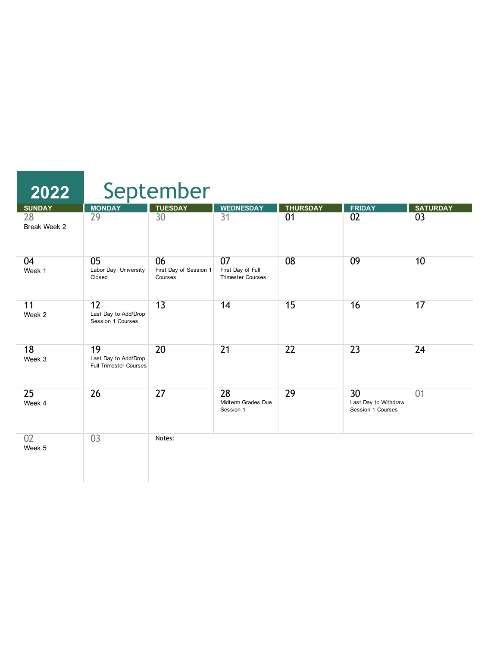| 2022               |                                                             | September                               |                                                     |                 |                                                 |                 |
|--------------------|-------------------------------------------------------------|-----------------------------------------|-----------------------------------------------------|-----------------|-------------------------------------------------|-----------------|
| <b>SUNDAY</b>      | <b>MONDAY</b>                                               | <b>TUESDAY</b>                          | <b>WEDNESDAY</b>                                    | <b>THURSDAY</b> | <b>FRIDAY</b>                                   | <b>SATURDAY</b> |
| 28<br>Break Week 2 | $\overline{29}$                                             | 30                                      | $\overline{31}$                                     | 01              | 02                                              | 0 <sup>3</sup>  |
| 04<br>Week 1       | 05<br>Labor Day; University<br>Closed                       | 06<br>First Day of Session 1<br>Courses | 07<br>First Day of Full<br><b>Trimester Courses</b> | 08              | 09                                              | 10              |
| 11<br>Week 2       | 12<br>Last Day to Add/Drop<br>Session 1 Courses             | 13                                      | 14                                                  | 15              | 16                                              | 17              |
| 18<br>Week 3       | 19<br>Last Day to Add/Drop<br><b>Full Trimester Courses</b> | 20                                      | $\overline{21}$                                     | 22              | $\overline{23}$                                 | 24              |
| 25<br>Week 4       | 26                                                          | 27                                      | 28<br>Midterm Grades Due<br>Session 1               | 29              | 30<br>Last Day to Withdraw<br>Session 1 Courses | 01              |
| 02<br>Week 5       | 0 <sup>3</sup>                                              | Notes:                                  |                                                     |                 |                                                 |                 |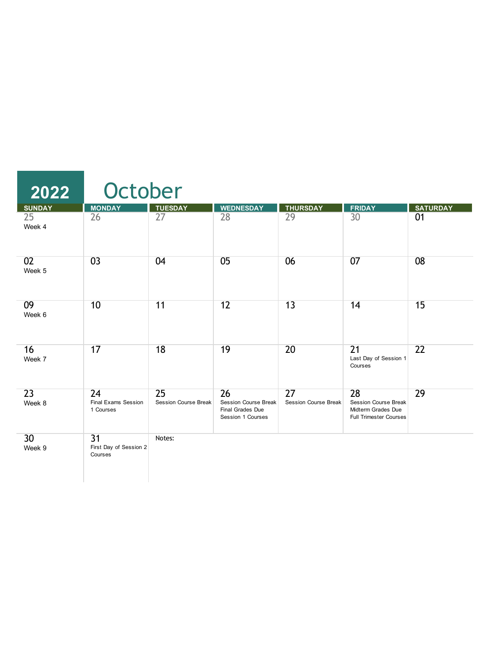| $\overline{2022}$         | October                                              |                                   |                                                                            |                            |                                                                                          |                 |
|---------------------------|------------------------------------------------------|-----------------------------------|----------------------------------------------------------------------------|----------------------------|------------------------------------------------------------------------------------------|-----------------|
| <b>SUNDAY</b>             | <b>MONDAY</b>                                        | <b>TUESDAY</b>                    | <b>WEDNESDAY</b>                                                           | <b>THURSDAY</b>            | <b>FRIDAY</b>                                                                            | <b>SATURDAY</b> |
| $\overline{25}$<br>Week 4 | 26                                                   | 27                                | 28                                                                         | 29                         | 30                                                                                       | 01              |
| 02<br>Week 5              | 0 <sup>3</sup>                                       | 04                                | 05                                                                         | 06                         | 07                                                                                       | 08              |
| 09<br>Week 6              | 10                                                   | 11                                | 12                                                                         | 13                         | 14                                                                                       | 15              |
| 16<br>Week 7              | 17                                                   | 18                                | 19                                                                         | 20                         | $\overline{21}$<br>Last Day of Session 1<br>Courses                                      | 22              |
| 23<br>Week 8              | 24<br>Final Exams Session<br>1 Courses               | 25<br><b>Session Course Break</b> | 26<br><b>Session Course Break</b><br>Final Grades Due<br>Session 1 Courses | 27<br>Session Course Break | 28<br><b>Session Course Break</b><br>Midterm Grades Due<br><b>Full Trimester Courses</b> | 29              |
| 30<br>Week 9              | $\overline{31}$<br>First Day of Session 2<br>Courses | Notes:                            |                                                                            |                            |                                                                                          |                 |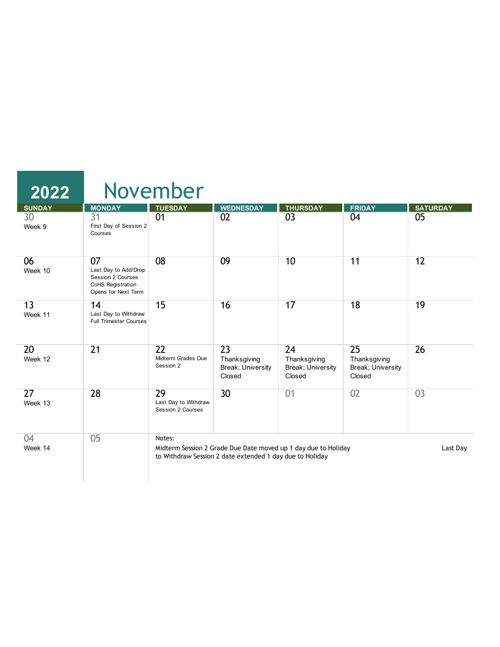| 2022          |                                                                                             | November                                           |                                                          |                                                                |                                                   |                 |
|---------------|---------------------------------------------------------------------------------------------|----------------------------------------------------|----------------------------------------------------------|----------------------------------------------------------------|---------------------------------------------------|-----------------|
| <b>SUNDAY</b> | <b>MONDAY</b>                                                                               | <b>TUESDAY</b>                                     | <b>WEDNESDAY</b>                                         | <b>THURSDAY</b>                                                | <b>FRIDAY</b>                                     | <b>SATURDAY</b> |
| 30<br>Week 9  | 31<br>First Day of Session 2<br>Courses                                                     | 01                                                 | 02                                                       | 03                                                             | 04                                                | 05              |
| 06<br>Week 10 | 07<br>Last Day to Add/Drop<br>Session 2 Courses<br>CoHS Registration<br>Opens for Next Term | 08                                                 | 09                                                       | 10                                                             | 11                                                | 12              |
| 13<br>Week 11 | 14<br>Last Day to Withdraw<br><b>Full Trimester Courses</b>                                 | 15                                                 | 16                                                       | 17                                                             | 18                                                | 19              |
| 20<br>Week 12 | 21                                                                                          | $\overline{22}$<br>Midterm Grades Due<br>Session 2 | 23<br>Thanksgiving<br>Break; University<br>Closed        | 24<br>Thanksgiving<br>Break; University<br>Closed              | 25<br>Thanksgiving<br>Break; University<br>Closed | 26              |
| 27<br>Week 13 | 28                                                                                          | 29<br>Last Day to Withdraw<br>Session 2 Courses    | 30                                                       | 01                                                             | 02                                                | 03              |
| 04<br>Week 14 | 0 <sub>5</sub>                                                                              | Notes:                                             | to Withdraw Session 2 date extended 1 day due to Holiday | Midterm Session 2 Grade Due Date moved up 1 day due to Holiday |                                                   | Last Day        |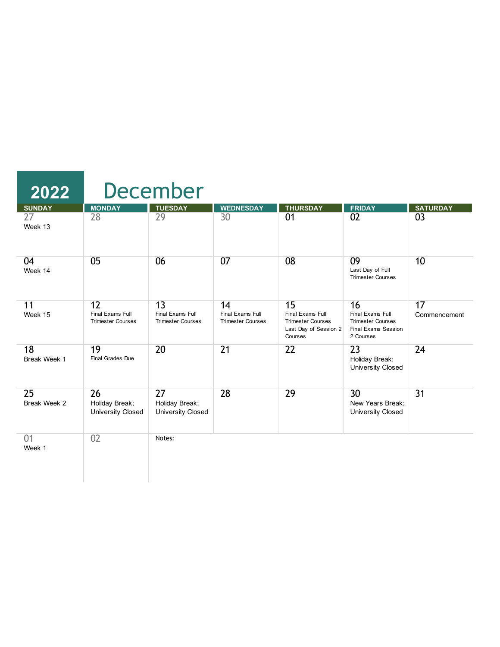| 2022               |                                                    | <b>December</b>                                    |                                                    |                                                                                        |                                                                                        |                    |
|--------------------|----------------------------------------------------|----------------------------------------------------|----------------------------------------------------|----------------------------------------------------------------------------------------|----------------------------------------------------------------------------------------|--------------------|
| <b>SUNDAY</b>      | <b>MONDAY</b>                                      | <b>TUESDAY</b>                                     | <b>WEDNESDAY</b>                                   | <b>THURSDAY</b>                                                                        | <b>FRIDAY</b>                                                                          | <b>SATURDAY</b>    |
| 27<br>Week 13      | 28                                                 | $\overline{29}$                                    | 30                                                 | 01                                                                                     | 02                                                                                     | 0 <sup>3</sup>     |
| 04<br>Week 14      | 05                                                 | 06                                                 | 07                                                 | 08                                                                                     | 09<br>Last Day of Full<br><b>Trimester Courses</b>                                     | 10                 |
| 11<br>Week 15      | 12<br>Final Exams Full<br><b>Trimester Courses</b> | 13<br>Final Exams Full<br><b>Trimester Courses</b> | 14<br>Final Exams Full<br><b>Trimester Courses</b> | 15<br>Final Exams Full<br><b>Trimester Courses</b><br>Last Day of Session 2<br>Courses | 16<br>Final Exams Full<br><b>Trimester Courses</b><br>Final Exams Session<br>2 Courses | 17<br>Commencement |
| 18<br>Break Week 1 | 19<br>Final Grades Due                             | 20                                                 | $\overline{21}$                                    | 22                                                                                     | 23<br>Holiday Break;<br><b>University Closed</b>                                       | 24                 |
| 25<br>Break Week 2 | 26<br>Holiday Break;<br><b>University Closed</b>   | 27<br>Holiday Break;<br>University Closed          | 28                                                 | 29                                                                                     | 30<br>New Years Break:<br><b>University Closed</b>                                     | $\overline{31}$    |
| 01<br>Week 1       | 02                                                 | Notes:                                             |                                                    |                                                                                        |                                                                                        |                    |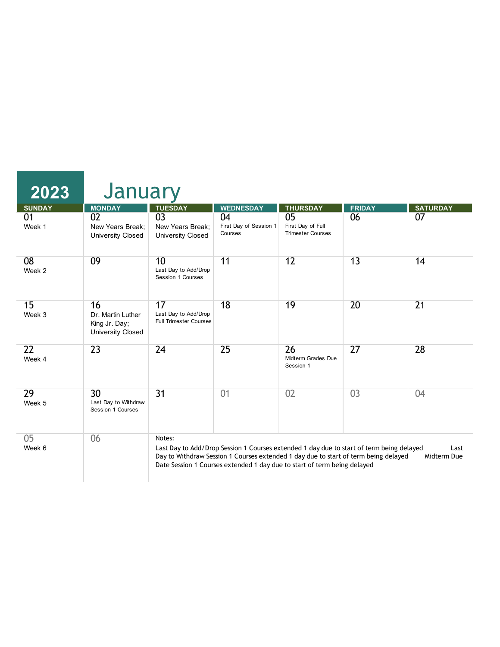| 2023          | January                                                       |                                                             |                                         |                                                                                                                                                                                                                                                             |               |                     |
|---------------|---------------------------------------------------------------|-------------------------------------------------------------|-----------------------------------------|-------------------------------------------------------------------------------------------------------------------------------------------------------------------------------------------------------------------------------------------------------------|---------------|---------------------|
| <b>SUNDAY</b> | <b>MONDAY</b>                                                 | <b>TUESDAY</b>                                              | <b>WEDNESDAY</b>                        | <b>THURSDAY</b>                                                                                                                                                                                                                                             | <b>FRIDAY</b> | <b>SATURDAY</b>     |
| 01<br>Week 1  | 02<br>New Years Break:<br><b>University Closed</b>            | 0 <sup>3</sup><br>New Years Break:<br>University Closed     | 04<br>First Day of Session 1<br>Courses | 05<br>First Day of Full<br><b>Trimester Courses</b>                                                                                                                                                                                                         | 06            | 07                  |
| 08<br>Week 2  | 09                                                            | 10<br>Last Day to Add/Drop<br>Session 1 Courses             | 11                                      | 12                                                                                                                                                                                                                                                          | 13            | 14                  |
| 15<br>Week 3  | 16<br>Dr. Martin Luther<br>King Jr. Day;<br>University Closed | 17<br>Last Day to Add/Drop<br><b>Full Trimester Courses</b> | 18                                      | 19                                                                                                                                                                                                                                                          | 20            | 21                  |
| 22<br>Week 4  | $\overline{23}$                                               | 24                                                          | 25                                      | 26<br>Midterm Grades Due<br>Session 1                                                                                                                                                                                                                       | 27            | 28                  |
| 29<br>Week 5  | 30 <sup>2</sup><br>Last Day to Withdraw<br>Session 1 Courses  | $\overline{31}$                                             | 01                                      | 02                                                                                                                                                                                                                                                          | 03            | 04                  |
| 05<br>Week 6  | 06                                                            | Notes:                                                      |                                         | Last Day to Add/Drop Session 1 Courses extended 1 day due to start of term being delayed<br>Day to Withdraw Session 1 Courses extended 1 day due to start of term being delayed<br>Date Session 1 Courses extended 1 day due to start of term being delayed |               | Last<br>Midterm Due |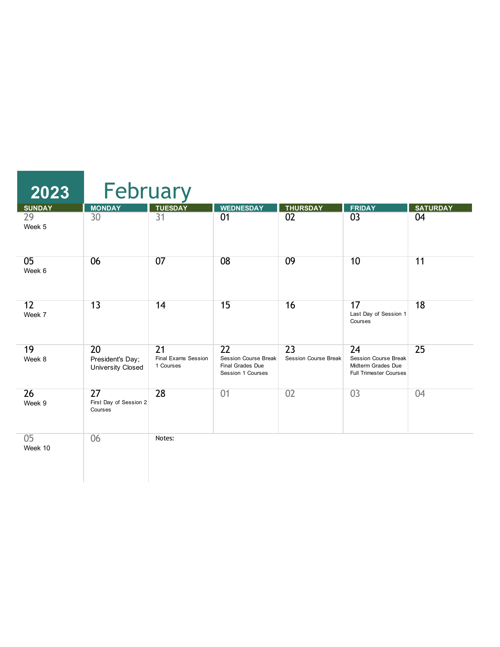| 2023                          | February                                             |                                                            |                                                                     |                                                |                                                                                          |                       |  |  |  |
|-------------------------------|------------------------------------------------------|------------------------------------------------------------|---------------------------------------------------------------------|------------------------------------------------|------------------------------------------------------------------------------------------|-----------------------|--|--|--|
| <b>SUNDAY</b><br>29<br>Week 5 | <b>MONDAY</b><br>30                                  | <b>TUESDAY</b><br>31                                       | <b>WEDNESDAY</b><br>01                                              | <b>THURSDAY</b><br>02                          | <b>FRIDAY</b><br>03                                                                      | <b>SATURDAY</b><br>04 |  |  |  |
| 05<br>Week 6                  | 06                                                   | 07                                                         | 08                                                                  | 09                                             | 10                                                                                       | 11                    |  |  |  |
| 12<br>Week 7                  | 13                                                   | 14                                                         | 15                                                                  | 16                                             | 17<br>Last Day of Session 1<br>Courses                                                   | 18                    |  |  |  |
| 19<br>Week 8                  | 20<br>President's Day;<br>University Closed          | $\overline{21}$<br><b>Final Exams Session</b><br>1 Courses | 22<br>Session Course Break<br>Final Grades Due<br>Session 1 Courses | $\overline{23}$<br><b>Session Course Break</b> | 24<br><b>Session Course Break</b><br>Midterm Grades Due<br><b>Full Trimester Courses</b> | 25                    |  |  |  |
| 26<br>Week 9                  | $\overline{27}$<br>First Day of Session 2<br>Courses | 28                                                         | 01                                                                  | 02                                             | 03                                                                                       | 04                    |  |  |  |
| 05<br>Week 10                 | 06                                                   | Notes:                                                     |                                                                     |                                                |                                                                                          |                       |  |  |  |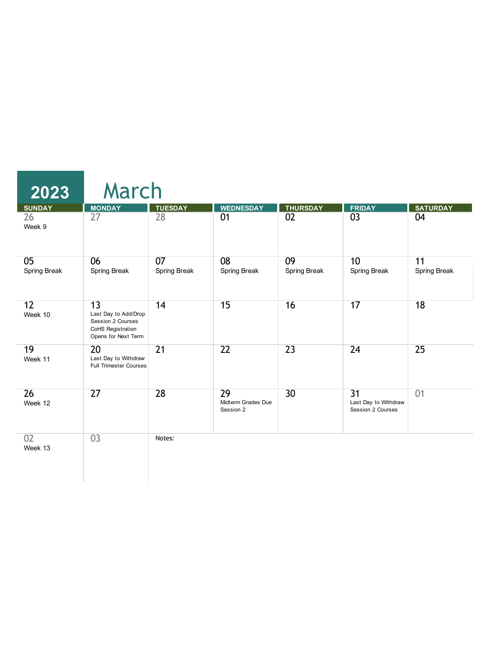| 2023               | March                                                                                       |                    |                                       |                    |                                                              |                    |
|--------------------|---------------------------------------------------------------------------------------------|--------------------|---------------------------------------|--------------------|--------------------------------------------------------------|--------------------|
| <b>SUNDAY</b>      | <b>MONDAY</b>                                                                               | <b>TUESDAY</b>     | <b>WEDNESDAY</b>                      | <b>THURSDAY</b>    | <b>FRIDAY</b>                                                | <b>SATURDAY</b>    |
| 26<br>Week 9       | 27                                                                                          | $\overline{28}$    | 01                                    | $\overline{02}$    | $\overline{03}$                                              | 04                 |
| 05<br>Spring Break | 06<br>Spring Break                                                                          | 07<br>Spring Break | 08<br>Spring Break                    | 09<br>Spring Break | 10<br>Spring Break                                           | 11<br>Spring Break |
| 12<br>Week 10      | 13<br>Last Day to Add/Drop<br>Session 2 Courses<br>CoHS Registration<br>Opens for Next Term | 14                 | 15                                    | 16                 | 17                                                           | 18                 |
| 19<br>Week 11      | 20<br>Last Day to Withdraw<br><b>Full Trimester Courses</b>                                 | $\overline{21}$    | 22                                    | $\overline{23}$    | 24                                                           | 25                 |
| 26<br>Week 12      | 27                                                                                          | 28                 | 29<br>Midterm Grades Due<br>Session 2 | 30                 | $\overline{31}$<br>Last Day to Withdraw<br>Session 2 Courses | 01                 |
| 02<br>Week 13      | 03                                                                                          | Notes:             |                                       |                    |                                                              |                    |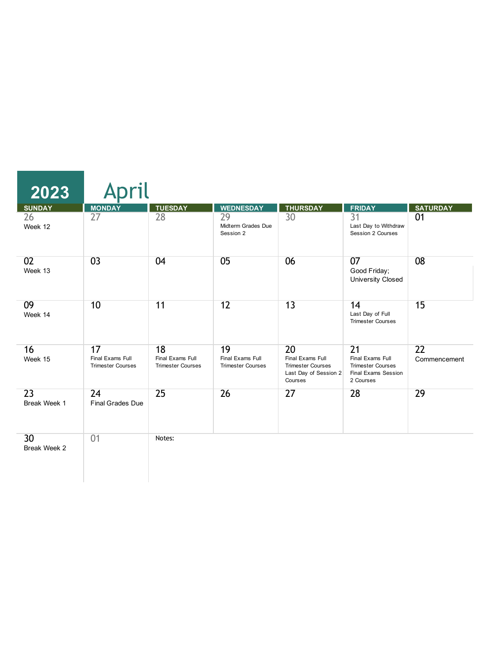| 2023                            |                                                    |                                                    |                                                    |                                                                                        |                                                                                                     |                    |
|---------------------------------|----------------------------------------------------|----------------------------------------------------|----------------------------------------------------|----------------------------------------------------------------------------------------|-----------------------------------------------------------------------------------------------------|--------------------|
| <b>SUNDAY</b>                   | <b>MONDAY</b>                                      | <b>TUESDAY</b>                                     | <b>WEDNESDAY</b>                                   | <b>THURSDAY</b>                                                                        | <b>FRIDAY</b>                                                                                       | <b>SATURDAY</b>    |
| 26<br>Week 12                   | 27                                                 | 28                                                 | 29<br>Midterm Grades Due<br>Session 2              | 30                                                                                     | 31<br>Last Day to Withdraw<br>Session 2 Courses                                                     | 01                 |
| 02<br>Week 13                   | 0 <sup>3</sup>                                     | 04                                                 | 05                                                 | 06                                                                                     | 07<br>Good Friday;<br><b>University Closed</b>                                                      | 08                 |
| 09<br>Week 14                   | 10                                                 | 11                                                 | 12                                                 | 13                                                                                     | 14<br>Last Day of Full<br><b>Trimester Courses</b>                                                  | 15                 |
| 16<br>Week 15                   | 17<br>Final Exams Full<br><b>Trimester Courses</b> | 18<br>Final Exams Full<br><b>Trimester Courses</b> | 19<br>Final Exams Full<br><b>Trimester Courses</b> | 20<br>Final Exams Full<br><b>Trimester Courses</b><br>Last Day of Session 2<br>Courses | $\overline{21}$<br>Final Exams Full<br><b>Trimester Courses</b><br>Final Exams Session<br>2 Courses | 22<br>Commencement |
| $\overline{23}$<br>Break Week 1 | 24<br><b>Final Grades Due</b>                      | 25                                                 | 26                                                 | 27                                                                                     | 28                                                                                                  | 29                 |
| 30<br>Break Week 2              | 01                                                 | Notes:                                             |                                                    |                                                                                        |                                                                                                     |                    |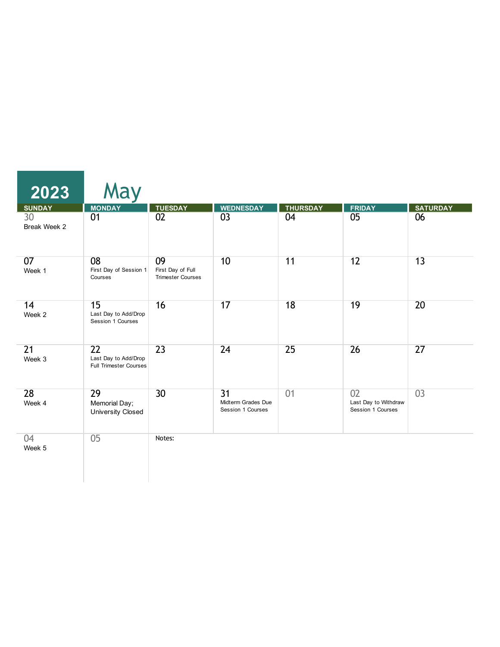| 2023               | May                                                                      |                                                     |                                                            |                 |                                                 |                 |
|--------------------|--------------------------------------------------------------------------|-----------------------------------------------------|------------------------------------------------------------|-----------------|-------------------------------------------------|-----------------|
| <b>SUNDAY</b>      | <b>MONDAY</b>                                                            | <b>TUESDAY</b>                                      | <b>WEDNESDAY</b>                                           | <b>THURSDAY</b> | <b>FRIDAY</b>                                   | <b>SATURDAY</b> |
| 30<br>Break Week 2 | 01                                                                       | 02                                                  | 03                                                         | 04              | 05                                              | 06              |
| 07<br>Week 1       | 08<br>First Day of Session 1<br>Courses                                  | 09<br>First Day of Full<br><b>Trimester Courses</b> | 10                                                         | 11              | 12                                              | 13              |
| 14<br>Week 2       | 15<br>Last Day to Add/Drop<br>Session 1 Courses                          | 16                                                  | 17                                                         | 18              | 19                                              | 20              |
| 21<br>Week 3       | $\overline{22}$<br>Last Day to Add/Drop<br><b>Full Trimester Courses</b> | $\overline{23}$                                     | 24                                                         | 25              | 26                                              | 27              |
| 28<br>Week 4       | 29<br>Memorial Day;<br>University Closed                                 | 30 <sup>2</sup>                                     | $\overline{31}$<br>Midterm Grades Due<br>Session 1 Courses | 01              | 02<br>Last Day to Withdraw<br>Session 1 Courses | 03              |
| 04<br>Week 5       | 0 <sub>5</sub>                                                           | Notes:                                              |                                                            |                 |                                                 |                 |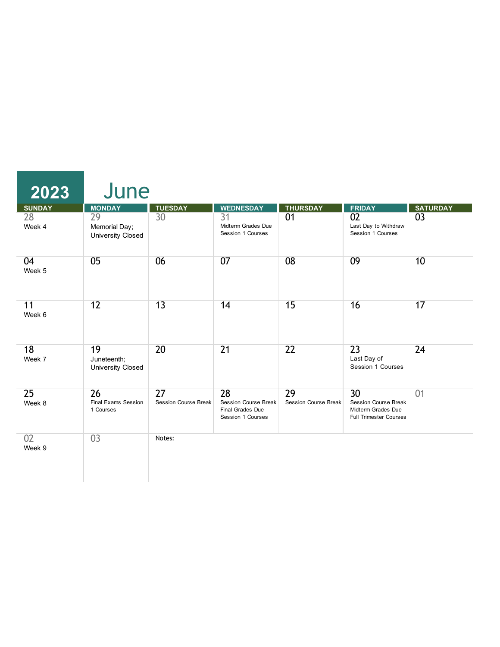| 2023          | June                                     |                                   |                                                                     |                            |                                                                                          |                 |
|---------------|------------------------------------------|-----------------------------------|---------------------------------------------------------------------|----------------------------|------------------------------------------------------------------------------------------|-----------------|
| <b>SUNDAY</b> | <b>MONDAY</b>                            | <b>TUESDAY</b>                    | <b>WEDNESDAY</b>                                                    | <b>THURSDAY</b>            | <b>FRIDAY</b>                                                                            | <b>SATURDAY</b> |
| 28<br>Week 4  | 29<br>Memorial Day;<br>University Closed | 30                                | 31<br>Midterm Grades Due<br>Session 1 Courses                       | 01                         | 02<br>Last Day to Withdraw<br>Session 1 Courses                                          | 03              |
| 04<br>Week 5  | 05                                       | 06                                | 07                                                                  | 08                         | 09                                                                                       | 10              |
| 11<br>Week 6  | 12                                       | 13                                | 14                                                                  | 15                         | 16                                                                                       | 17              |
| 18<br>Week 7  | 19<br>Juneteenth;<br>University Closed   | 20                                | $\overline{21}$                                                     | $\overline{22}$            | $\overline{23}$<br>Last Day of<br>Session 1 Courses                                      | 24              |
| 25<br>Week 8  | 26<br>Final Exams Session<br>1 Courses   | 27<br><b>Session Course Break</b> | 28<br>Session Course Break<br>Final Grades Due<br>Session 1 Courses | 29<br>Session Course Break | 30<br><b>Session Course Break</b><br>Midterm Grades Due<br><b>Full Trimester Courses</b> | 01              |
| 02<br>Week 9  | 03                                       | Notes:                            |                                                                     |                            |                                                                                          |                 |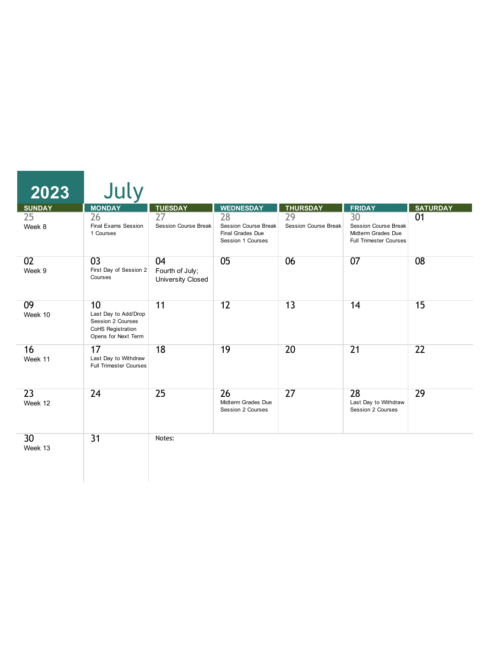| 2023          | July                                                                                        |                                            |                                                                            |                                   |                                                                                                       |                 |
|---------------|---------------------------------------------------------------------------------------------|--------------------------------------------|----------------------------------------------------------------------------|-----------------------------------|-------------------------------------------------------------------------------------------------------|-----------------|
| <b>SUNDAY</b> | <b>MONDAY</b>                                                                               | <b>TUESDAY</b>                             | <b>WEDNESDAY</b>                                                           | <b>THURSDAY</b>                   | <b>FRIDAY</b>                                                                                         | <b>SATURDAY</b> |
| 25<br>Week 8  | 26<br>Final Exams Session<br>1 Courses                                                      | 27<br><b>Session Course Break</b>          | 28<br><b>Session Course Break</b><br>Final Grades Due<br>Session 1 Courses | 29<br><b>Session Course Break</b> | $\overline{30}$<br><b>Session Course Break</b><br>Midterm Grades Due<br><b>Full Trimester Courses</b> | 01              |
| 02<br>Week 9  | 03<br>First Day of Session 2<br>Courses                                                     | 04<br>Fourth of July;<br>University Closed | 05                                                                         | 06                                | 07                                                                                                    | 08              |
| 09<br>Week 10 | 10<br>Last Day to Add/Drop<br>Session 2 Courses<br>CoHS Registration<br>Opens for Next Term | 11                                         | 12                                                                         | 13                                | 14                                                                                                    | 15              |
| 16<br>Week 11 | 17<br>Last Day to Withdraw<br><b>Full Trimester Courses</b>                                 | 18                                         | 19                                                                         | 20                                | $\overline{21}$                                                                                       | 22              |
| 23<br>Week 12 | 24                                                                                          | 25                                         | 26<br>Midterm Grades Due<br>Session 2 Courses                              | 27                                | 28<br>Last Day to Withdraw<br>Session 2 Courses                                                       | 29              |
| 30<br>Week 13 | 31                                                                                          | Notes:                                     |                                                                            |                                   |                                                                                                       |                 |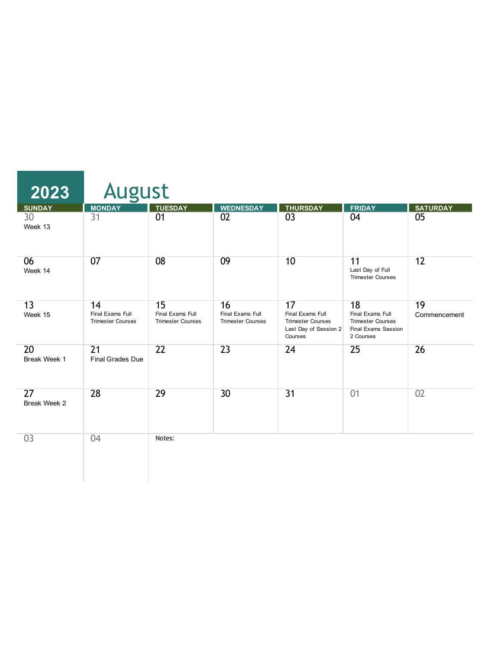| 2023               | <b>August</b>                                      |                                                    |                                                    |                                                                                        |                                                                                        |                    |
|--------------------|----------------------------------------------------|----------------------------------------------------|----------------------------------------------------|----------------------------------------------------------------------------------------|----------------------------------------------------------------------------------------|--------------------|
| <b>SUNDAY</b>      | <b>MONDAY</b>                                      | <b>TUESDAY</b>                                     | <b>WEDNESDAY</b>                                   | <b>THURSDAY</b>                                                                        | <b>FRIDAY</b>                                                                          | <b>SATURDAY</b>    |
| 30<br>Week 13      | 31                                                 | 01                                                 | 02                                                 | $\overline{03}$                                                                        | 04                                                                                     | 05                 |
| 06<br>Week 14      | 07                                                 | 08                                                 | 09                                                 | 10                                                                                     | 11<br>Last Day of Full<br><b>Trimester Courses</b>                                     | 12                 |
| 13<br>Week 15      | 14<br>Final Exams Full<br><b>Trimester Courses</b> | 15<br>Final Exams Full<br><b>Trimester Courses</b> | 16<br>Final Exams Full<br><b>Trimester Courses</b> | 17<br>Final Exams Full<br><b>Trimester Courses</b><br>Last Day of Session 2<br>Courses | 18<br>Final Exams Full<br><b>Trimester Courses</b><br>Final Exams Session<br>2 Courses | 19<br>Commencement |
| 20<br>Break Week 1 | 21<br>Final Grades Due                             | $\overline{22}$                                    | 23                                                 | 24                                                                                     | 25                                                                                     | 26                 |
| 27<br>Break Week 2 | 28                                                 | 29                                                 | 30 <sup>2</sup>                                    | $\overline{31}$                                                                        | 01                                                                                     | 02                 |
| 03                 | 04                                                 | Notes:                                             |                                                    |                                                                                        |                                                                                        |                    |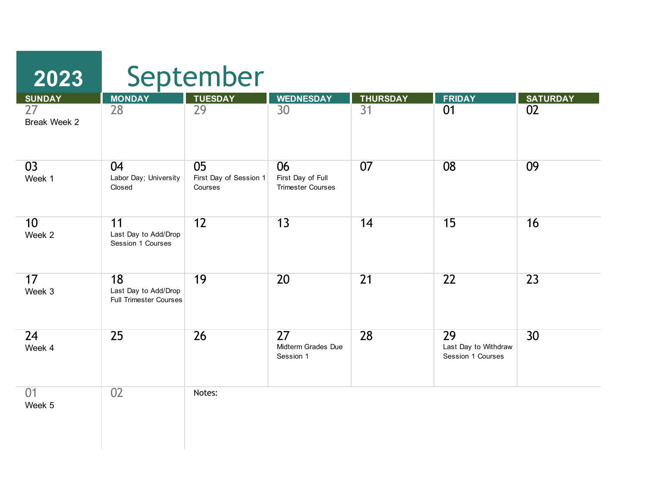| 2023                      | September                                                   |                                         |                                                     |                 |                                                 |                 |  |  |
|---------------------------|-------------------------------------------------------------|-----------------------------------------|-----------------------------------------------------|-----------------|-------------------------------------------------|-----------------|--|--|
| <b>SUNDAY</b>             | <b>MONDAY</b>                                               | <b>TUESDAY</b>                          | <b>WEDNESDAY</b>                                    | <b>THURSDAY</b> | <b>FRIDAY</b>                                   | <b>SATURDAY</b> |  |  |
| 27<br>Break Week 2        | 28                                                          | 29                                      | 30                                                  | $\overline{31}$ | 01                                              | 02              |  |  |
| 03<br>Week 1              | 04<br>Labor Day; University<br>Closed                       | 05<br>First Day of Session 1<br>Courses | 06<br>First Day of Full<br><b>Trimester Courses</b> | 07              | 08                                              | 09              |  |  |
| 10 <sup>1</sup><br>Week 2 | 11<br>Last Day to Add/Drop<br>Session 1 Courses             | 12                                      | $\overline{13}$                                     | 14              | 15                                              | 16              |  |  |
| 17<br>Week 3              | 18<br>Last Day to Add/Drop<br><b>Full Trimester Courses</b> | 19                                      | $\overline{20}$                                     | $\overline{21}$ | $\overline{22}$                                 | 23              |  |  |
| 24<br>Week 4              | 25                                                          | 26                                      | $\overline{27}$<br>Midterm Grades Due<br>Session 1  | 28              | 29<br>Last Day to Withdraw<br>Session 1 Courses | 30              |  |  |
| 01<br>Week 5              | 02                                                          | Notes:                                  |                                                     |                 |                                                 |                 |  |  |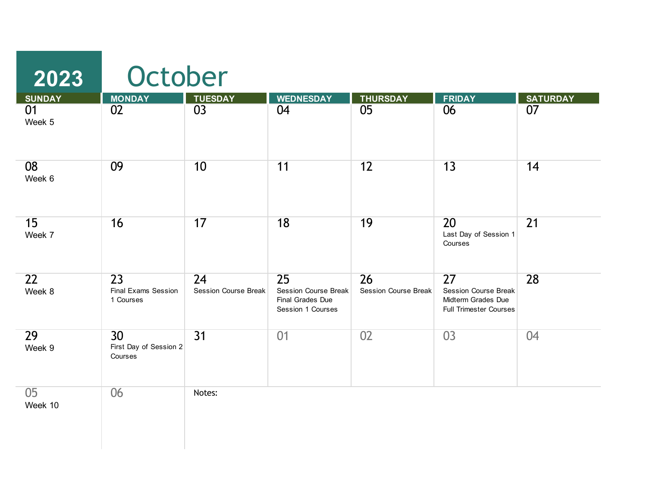| 2023                      | October                                             |                                   |                                                                            |                            |                                                                                          |                 |  |  |
|---------------------------|-----------------------------------------------------|-----------------------------------|----------------------------------------------------------------------------|----------------------------|------------------------------------------------------------------------------------------|-----------------|--|--|
| <b>SUNDAY</b>             | <b>MONDAY</b>                                       | <b>TUESDAY</b>                    | <b>WEDNESDAY</b>                                                           | <b>THURSDAY</b>            | <b>FRIDAY</b>                                                                            | <b>SATURDAY</b> |  |  |
| 01<br>Week 5              | 02                                                  | 03                                | 04                                                                         | 05                         | 06                                                                                       | 07              |  |  |
| 08<br>Week 6              | 09                                                  | 10                                | 11                                                                         | 12                         | 13                                                                                       | 14              |  |  |
| 15<br>Week 7              | 16                                                  | 17                                | 18                                                                         | 19                         | 20<br>Last Day of Session 1<br>Courses                                                   | 21              |  |  |
| $\overline{22}$<br>Week 8 | $\overline{23}$<br>Final Exams Session<br>1 Courses | 24<br><b>Session Course Break</b> | 25<br><b>Session Course Break</b><br>Final Grades Due<br>Session 1 Courses | 26<br>Session Course Break | 27<br><b>Session Course Break</b><br>Midterm Grades Due<br><b>Full Trimester Courses</b> | 28              |  |  |
| 29<br>Week 9              | 30<br>First Day of Session 2<br>Courses             | 31                                | 01                                                                         | 02                         | 03                                                                                       | 04              |  |  |
| 05<br>Week 10             | 06                                                  | Notes:                            |                                                                            |                            |                                                                                          |                 |  |  |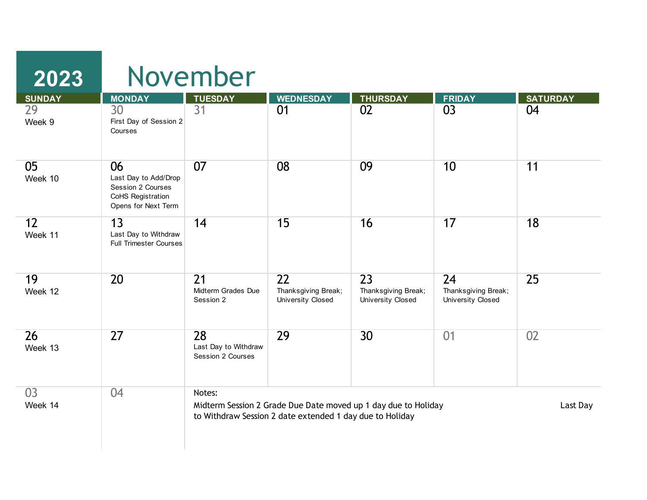| 2023          |                                                                                             | November                                           |                                                          |                                                                |                                                |                 |  |  |  |
|---------------|---------------------------------------------------------------------------------------------|----------------------------------------------------|----------------------------------------------------------|----------------------------------------------------------------|------------------------------------------------|-----------------|--|--|--|
| <b>SUNDAY</b> | <b>MONDAY</b>                                                                               | <b>TUESDAY</b>                                     | <b>WEDNESDAY</b>                                         | <b>THURSDAY</b>                                                | <b>FRIDAY</b>                                  | <b>SATURDAY</b> |  |  |  |
| 29<br>Week 9  | 30<br>First Day of Session 2<br>Courses                                                     | $\overline{31}$                                    | 01                                                       | 02                                                             | 03                                             | 04              |  |  |  |
| 05<br>Week 10 | 06<br>Last Day to Add/Drop<br>Session 2 Courses<br>CoHS Registration<br>Opens for Next Term | 07                                                 | 08                                                       | 09                                                             | 10                                             | 11              |  |  |  |
| 12<br>Week 11 | 13<br>Last Day to Withdraw<br><b>Full Trimester Courses</b>                                 | 14                                                 | 15                                                       | 16                                                             | 17                                             | 18              |  |  |  |
| 19<br>Week 12 | 20                                                                                          | $\overline{21}$<br>Midterm Grades Due<br>Session 2 | 22<br>Thanksgiving Break;<br>University Closed           | 23<br>Thanksgiving Break;<br>University Closed                 | 24<br>Thanksgiving Break;<br>University Closed | 25              |  |  |  |
| 26<br>Week 13 | 27                                                                                          | 28<br>Last Day to Withdraw<br>Session 2 Courses    | 29                                                       | 30                                                             | 01                                             | 02              |  |  |  |
| 03<br>Week 14 | 04                                                                                          | Notes:                                             | to Withdraw Session 2 date extended 1 day due to Holiday | Midterm Session 2 Grade Due Date moved up 1 day due to Holiday |                                                | Last Day        |  |  |  |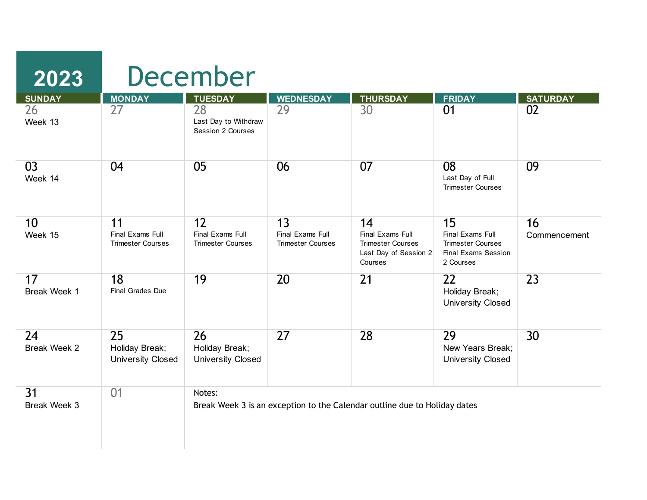| <b>SUNDAY</b>             | <b>MONDAY</b>                                      | <b>TUESDAY</b>                                     | <b>WEDNESDAY</b>                                   | <b>THURSDAY</b>                                                                        | <b>FRIDAY</b>                                                                          | <b>SATURDAY</b>    |
|---------------------------|----------------------------------------------------|----------------------------------------------------|----------------------------------------------------|----------------------------------------------------------------------------------------|----------------------------------------------------------------------------------------|--------------------|
| 26<br>Week 13             | 27                                                 | 28<br>Last Day to Withdraw<br>Session 2 Courses    | 29                                                 | 30                                                                                     | 01                                                                                     | 02                 |
| 03<br>Week 14             | 04                                                 | 05                                                 | 06                                                 | 07                                                                                     | 08<br>Last Day of Full<br><b>Trimester Courses</b>                                     | 09                 |
| 10<br>Week 15             | 11<br>Final Exams Full<br><b>Trimester Courses</b> | 12<br>Final Exams Full<br><b>Trimester Courses</b> | 13<br>Final Exams Full<br><b>Trimester Courses</b> | 14<br>Final Exams Full<br><b>Trimester Courses</b><br>Last Day of Session 2<br>Courses | 15<br>Final Exams Full<br><b>Trimester Courses</b><br>Final Exams Session<br>2 Courses | 16<br>Commencement |
| 17<br>Break Week 1        | 18<br><b>Final Grades Due</b>                      | 19                                                 | 20                                                 | $\overline{21}$                                                                        | $\overline{22}$<br>Holiday Break;<br><b>University Closed</b>                          | 23                 |
| 24<br><b>Break Week 2</b> | 25<br>Holiday Break;<br><b>University Closed</b>   | 26<br>Holiday Break;<br><b>University Closed</b>   | 27                                                 | 28                                                                                     | 29<br>New Years Break:<br><b>University Closed</b>                                     | 30                 |
| 31<br><b>Break Week 3</b> | 01                                                 | Notes:                                             |                                                    | Break Week 3 is an exception to the Calendar outline due to Holiday dates              |                                                                                        |                    |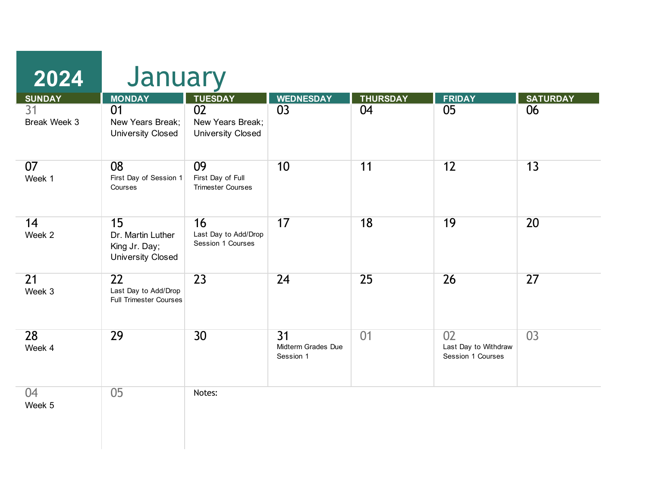| <b>SUNDAY</b>      | January<br><b>MONDAY</b>                                             | <b>TUESDAY</b>                                      | <b>WEDNESDAY</b>                                   | <b>THURSDAY</b> | <b>FRIDAY</b>                                   | <b>SATURDAY</b> |
|--------------------|----------------------------------------------------------------------|-----------------------------------------------------|----------------------------------------------------|-----------------|-------------------------------------------------|-----------------|
| 31<br>Break Week 3 | 01<br>New Years Break;<br><b>University Closed</b>                   | 02<br>New Years Break;<br><b>University Closed</b>  | 03                                                 | 04              | 05                                              | 06              |
| 07<br>Week 1       | 08<br>First Day of Session 1<br>Courses                              | 09<br>First Day of Full<br><b>Trimester Courses</b> | 10                                                 | 11              | 12                                              | 13              |
| 14<br>Week 2       | 15<br>Dr. Martin Luther<br>King Jr. Day;<br><b>University Closed</b> | 16<br>Last Day to Add/Drop<br>Session 1 Courses     | 17                                                 | 18              | 19                                              | 20              |
| 21<br>Week 3       | 22<br>Last Day to Add/Drop<br><b>Full Trimester Courses</b>          | 23                                                  | 24                                                 | 25              | 26                                              | 27              |
| 28<br>Week 4       | 29                                                                   | 30                                                  | $\overline{31}$<br>Midterm Grades Due<br>Session 1 | 01              | 02<br>Last Day to Withdraw<br>Session 1 Courses | 03              |
| 04<br>Week 5       | 05                                                                   | Notes:                                              |                                                    |                 |                                                 |                 |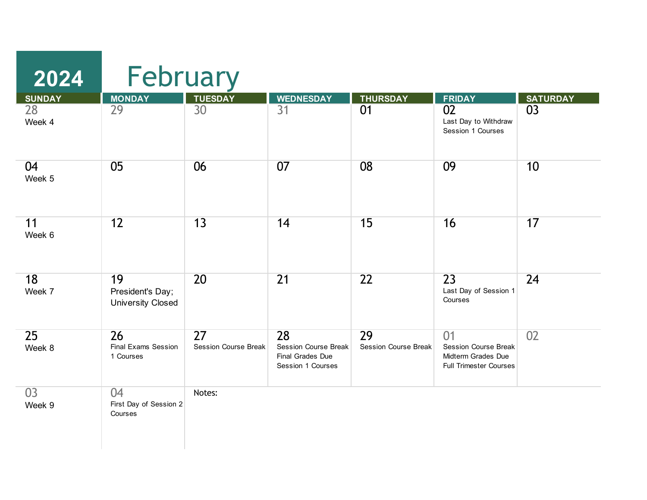| 2024          | February                                           |                                   |                                                                            |                            |                                                                                          |                 |  |  |
|---------------|----------------------------------------------------|-----------------------------------|----------------------------------------------------------------------------|----------------------------|------------------------------------------------------------------------------------------|-----------------|--|--|
| <b>SUNDAY</b> | <b>MONDAY</b>                                      | <b>TUESDAY</b>                    | <b>WEDNESDAY</b>                                                           | <b>THURSDAY</b>            | <b>FRIDAY</b>                                                                            | <b>SATURDAY</b> |  |  |
| 28<br>Week 4  | 29                                                 | 30                                | $\overline{31}$                                                            | 01                         | 02<br>Last Day to Withdraw<br>Session 1 Courses                                          | 03              |  |  |
| 04<br>Week 5  | 05                                                 | 06                                | 07                                                                         | 08                         | 09                                                                                       | 10              |  |  |
| 11<br>Week 6  | 12                                                 | 13                                | 14                                                                         | 15                         | 16                                                                                       | 17              |  |  |
| 18<br>Week 7  | 19<br>President's Day;<br><b>University Closed</b> | 20                                | 21                                                                         | 22                         | 23<br>Last Day of Session 1<br>Courses                                                   | 24              |  |  |
| 25<br>Week 8  | 26<br>Final Exams Session<br>1 Courses             | 27<br><b>Session Course Break</b> | 28<br><b>Session Course Break</b><br>Final Grades Due<br>Session 1 Courses | 29<br>Session Course Break | 01<br><b>Session Course Break</b><br>Midterm Grades Due<br><b>Full Trimester Courses</b> | 02              |  |  |
| 03<br>Week 9  | 04<br>First Day of Session 2<br>Courses            | Notes:                            |                                                                            |                            |                                                                                          |                 |  |  |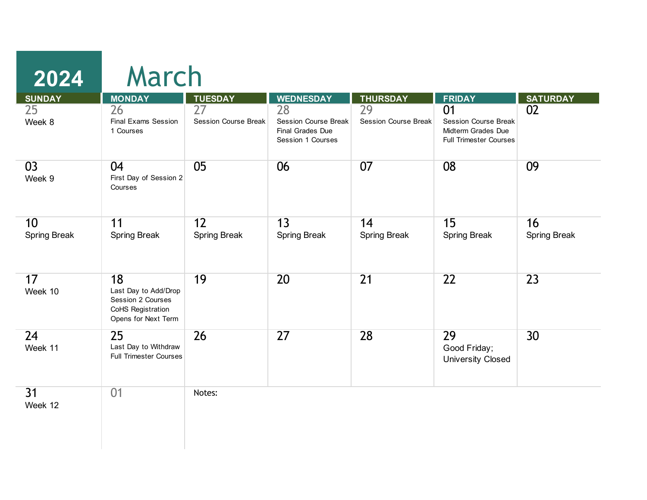| <b>SUNDAY</b>             | <b>MONDAY</b>                                                                               | <b>TUESDAY</b>                                 | <b>WEDNESDAY</b>                                                    | <b>THURSDAY</b>                   | <b>FRIDAY</b>                                                                     | <b>SATURDAY</b>           |
|---------------------------|---------------------------------------------------------------------------------------------|------------------------------------------------|---------------------------------------------------------------------|-----------------------------------|-----------------------------------------------------------------------------------|---------------------------|
| 25<br>Week 8              | 26<br><b>Final Exams Session</b><br>1 Courses                                               | $\overline{27}$<br><b>Session Course Break</b> | 28<br>Session Course Break<br>Final Grades Due<br>Session 1 Courses | 29<br><b>Session Course Break</b> | 01<br>Session Course Break<br>Midterm Grades Due<br><b>Full Trimester Courses</b> | 02                        |
| 03<br>Week 9              | 04<br>First Day of Session 2<br>Courses                                                     | 05                                             | 06                                                                  | 07                                | 08                                                                                | 09                        |
| 10<br><b>Spring Break</b> | 11<br><b>Spring Break</b>                                                                   | 12<br><b>Spring Break</b>                      | 13<br><b>Spring Break</b>                                           | 14<br><b>Spring Break</b>         | 15<br><b>Spring Break</b>                                                         | 16<br><b>Spring Break</b> |
| 17<br>Week 10             | 18<br>Last Day to Add/Drop<br>Session 2 Courses<br>CoHS Registration<br>Opens for Next Term | 19                                             | 20                                                                  | $\overline{21}$                   | $\overline{22}$                                                                   | 23                        |
| 24<br>Week 11             | 25<br>Last Day to Withdraw<br><b>Full Trimester Courses</b>                                 | 26                                             | 27                                                                  | 28                                | 29<br>Good Friday;<br><b>University Closed</b>                                    | 30                        |
| 31<br>Week 12             | 01                                                                                          | Notes:                                         |                                                                     |                                   |                                                                                   |                           |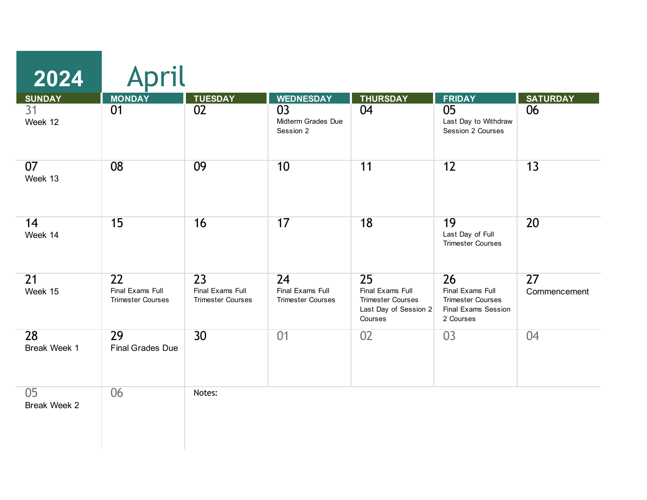| <b>SUNDAY</b>      | <b>MONDAY</b>                                      | <b>TUESDAY</b>                                     | <b>WEDNESDAY</b>                                   | <b>THURSDAY</b>                                                                        | <b>FRIDAY</b>                                                                          | <b>SATURDAY</b>                 |
|--------------------|----------------------------------------------------|----------------------------------------------------|----------------------------------------------------|----------------------------------------------------------------------------------------|----------------------------------------------------------------------------------------|---------------------------------|
| 31<br>Week 12      | 01                                                 | 02                                                 | 03<br>Midterm Grades Due<br>Session 2              | 04                                                                                     | 05<br>Last Day to Withdraw<br>Session 2 Courses                                        | 06                              |
| 07<br>Week 13      | 08                                                 | 09                                                 | 10                                                 | 11                                                                                     | 12                                                                                     | 13                              |
| 14<br>Week 14      | 15                                                 | 16                                                 | 17                                                 | 18                                                                                     | 19<br>Last Day of Full<br><b>Trimester Courses</b>                                     | 20                              |
| 21<br>Week 15      | 22<br>Final Exams Full<br><b>Trimester Courses</b> | 23<br>Final Exams Full<br><b>Trimester Courses</b> | 24<br>Final Exams Full<br><b>Trimester Courses</b> | 25<br>Final Exams Full<br><b>Trimester Courses</b><br>Last Day of Session 2<br>Courses | 26<br>Final Exams Full<br><b>Trimester Courses</b><br>Final Exams Session<br>2 Courses | $\overline{27}$<br>Commencement |
| 28<br>Break Week 1 | 29<br><b>Final Grades Due</b>                      | 30                                                 | 01                                                 | 02                                                                                     | 03                                                                                     | 04                              |
| 05<br>Break Week 2 | 06                                                 | Notes:                                             |                                                    |                                                                                        |                                                                                        |                                 |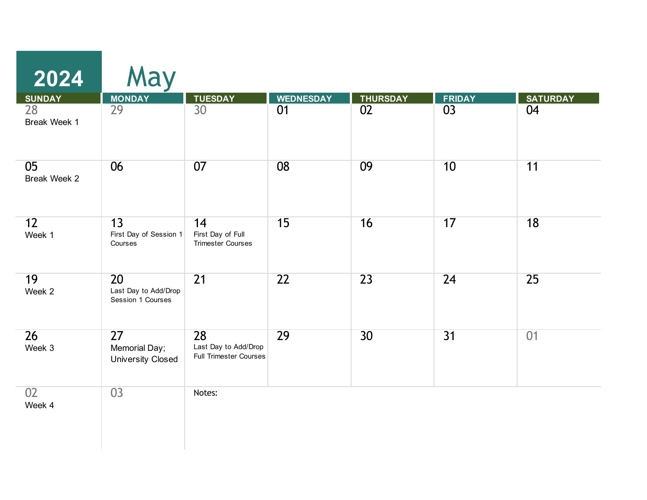| 2024<br><b>SUNDAY</b>     | May<br><b>MONDAY</b>                            | <b>TUESDAY</b>                                              | <b>WEDNESDAY</b> | <b>THURSDAY</b> | <b>FRIDAY</b> | <b>SATURDAY</b> |
|---------------------------|-------------------------------------------------|-------------------------------------------------------------|------------------|-----------------|---------------|-----------------|
| 28<br>Break Week 1        | 29                                              | 30                                                          | 01               | 02              | 03            | 04              |
| 05<br>Break Week 2        | 06                                              | 07                                                          | 08               | 09              | 10            | 11              |
| 12<br>Week 1              | 13<br>First Day of Session 1<br>Courses         | 14<br>First Day of Full<br><b>Trimester Courses</b>         | 15               | 16              | 17            | 18              |
| 19<br>Week 2              | 20<br>Last Day to Add/Drop<br>Session 1 Courses | $\overline{21}$                                             | $\overline{22}$  | 23              | 24            | 25              |
| $\overline{26}$<br>Week 3 | 27<br>Memorial Day;<br><b>University Closed</b> | 28<br>Last Day to Add/Drop<br><b>Full Trimester Courses</b> | 29               | 30 <sup>°</sup> | 31            | 01              |
| 02<br>Week 4              | 03                                              | Notes:                                                      |                  |                 |               |                 |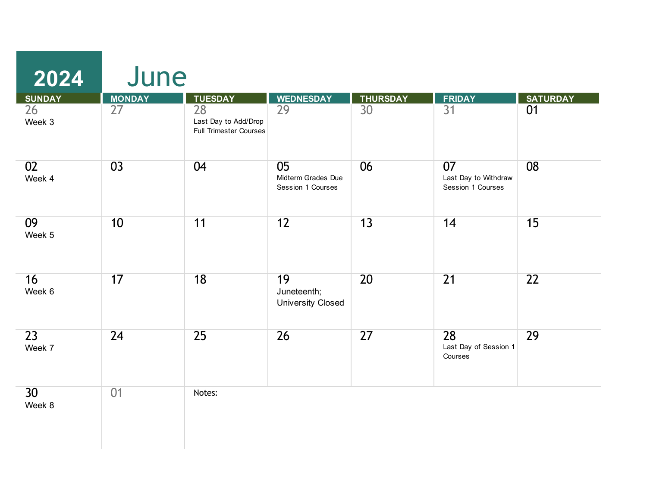| <b>SUNDAY</b>             | <b>MONDAY</b> | <b>TUESDAY</b>                                              | <b>WEDNESDAY</b>                              | <b>THURSDAY</b> | <b>FRIDAY</b>                                   | <b>SATURDAY</b> |
|---------------------------|---------------|-------------------------------------------------------------|-----------------------------------------------|-----------------|-------------------------------------------------|-----------------|
| 26<br>Week 3              | 27            | 28<br>Last Day to Add/Drop<br><b>Full Trimester Courses</b> | 29                                            | 30              | 31                                              | 01              |
| 02<br>Week 4              | 03            | 04                                                          | 05<br>Midterm Grades Due<br>Session 1 Courses | 06              | 07<br>Last Day to Withdraw<br>Session 1 Courses | 08              |
| 09<br>Week 5              | 10            | 11                                                          | 12                                            | 13              | 14                                              | 15              |
| 16<br>Week 6              | 17            | 18                                                          | 19<br>Juneteenth;<br><b>University Closed</b> | 20              | $\overline{21}$                                 | 22              |
| 23<br>Week 7              | 24            | 25                                                          | 26                                            | 27              | 28<br>Last Day of Session 1<br>Courses          | 29              |
| 30 <sup>2</sup><br>Week 8 | 01            | Notes:                                                      |                                               |                 |                                                 |                 |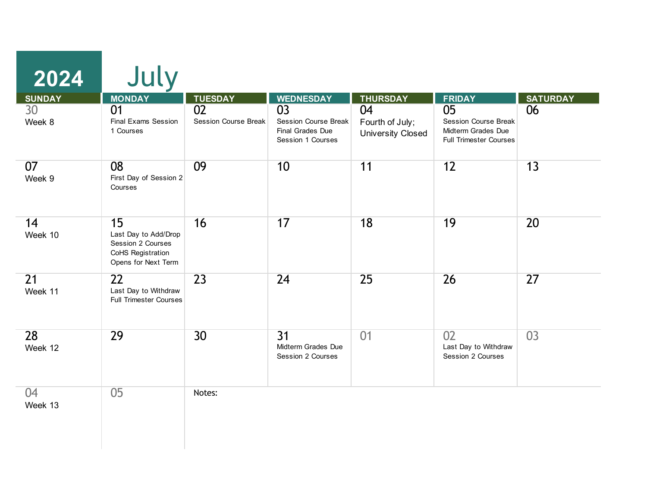| 2024          | July                                                                                        |                                   |                                                                     |                                                   |                                                                                          |                 |
|---------------|---------------------------------------------------------------------------------------------|-----------------------------------|---------------------------------------------------------------------|---------------------------------------------------|------------------------------------------------------------------------------------------|-----------------|
| <b>SUNDAY</b> | <b>MONDAY</b>                                                                               | <b>TUESDAY</b>                    | <b>WEDNESDAY</b>                                                    | <b>THURSDAY</b>                                   | <b>FRIDAY</b>                                                                            | <b>SATURDAY</b> |
| 30<br>Week 8  | 01<br>Final Exams Session<br>1 Courses                                                      | 02<br><b>Session Course Break</b> | 03<br>Session Course Break<br>Final Grades Due<br>Session 1 Courses | 04<br>Fourth of July;<br><b>University Closed</b> | 05<br><b>Session Course Break</b><br>Midterm Grades Due<br><b>Full Trimester Courses</b> | 06              |
| 07<br>Week 9  | 08<br>First Day of Session 2<br>Courses                                                     | 09                                | 10                                                                  | 11                                                | 12                                                                                       | 13              |
| 14<br>Week 10 | 15<br>Last Day to Add/Drop<br>Session 2 Courses<br>CoHS Registration<br>Opens for Next Term | 16                                | 17                                                                  | 18                                                | 19                                                                                       | 20              |
| 21<br>Week 11 | 22<br>Last Day to Withdraw<br><b>Full Trimester Courses</b>                                 | 23                                | 24                                                                  | 25                                                | 26                                                                                       | 27              |
| 28<br>Week 12 | 29                                                                                          | 30                                | $\overline{31}$<br>Midterm Grades Due<br>Session 2 Courses          | 01                                                | 02<br>Last Day to Withdraw<br>Session 2 Courses                                          | 03              |
| 04<br>Week 13 | 05                                                                                          | Notes:                            |                                                                     |                                                   |                                                                                          |                 |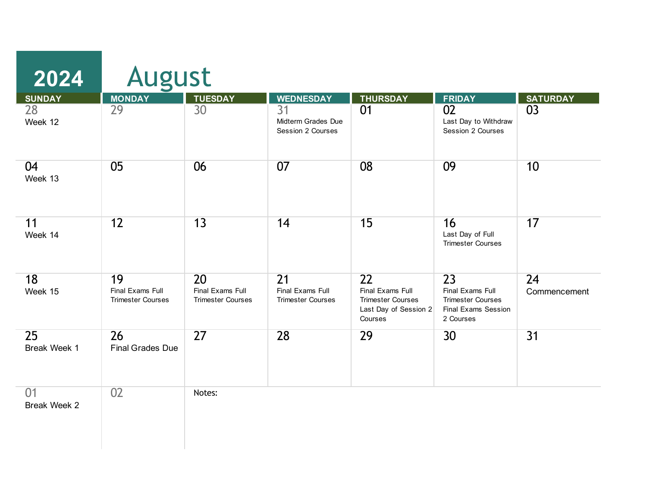| 2024                      | August                                             |                                                    |                                                                 |                                                                                                     |                                                                                        |                    |
|---------------------------|----------------------------------------------------|----------------------------------------------------|-----------------------------------------------------------------|-----------------------------------------------------------------------------------------------------|----------------------------------------------------------------------------------------|--------------------|
| <b>SUNDAY</b>             | <b>MONDAY</b>                                      | <b>TUESDAY</b>                                     | <b>WEDNESDAY</b>                                                | <b>THURSDAY</b>                                                                                     | <b>FRIDAY</b>                                                                          | <b>SATURDAY</b>    |
| 28<br>Week 12             | 29                                                 | 30                                                 | 31<br>Midterm Grades Due<br>Session 2 Courses                   | 01                                                                                                  | 02<br>Last Day to Withdraw<br>Session 2 Courses                                        | 03                 |
| 04<br>Week 13             | 05                                                 | 06                                                 | 07                                                              | 08                                                                                                  | 09                                                                                     | 10                 |
| 11<br>Week 14             | 12                                                 | 13                                                 | 14                                                              | 15                                                                                                  | 16<br>Last Day of Full<br><b>Trimester Courses</b>                                     | 17                 |
| 18<br>Week 15             | 19<br>Final Exams Full<br><b>Trimester Courses</b> | 20<br>Final Exams Full<br><b>Trimester Courses</b> | $\overline{21}$<br>Final Exams Full<br><b>Trimester Courses</b> | $\overline{22}$<br>Final Exams Full<br><b>Trimester Courses</b><br>Last Day of Session 2<br>Courses | 23<br>Final Exams Full<br><b>Trimester Courses</b><br>Final Exams Session<br>2 Courses | 24<br>Commencement |
| 25<br><b>Break Week 1</b> | 26<br><b>Final Grades Due</b>                      | 27                                                 | 28                                                              | 29                                                                                                  | 30                                                                                     | $\overline{31}$    |
| 01<br><b>Break Week 2</b> | 02                                                 | Notes:                                             |                                                                 |                                                                                                     |                                                                                        |                    |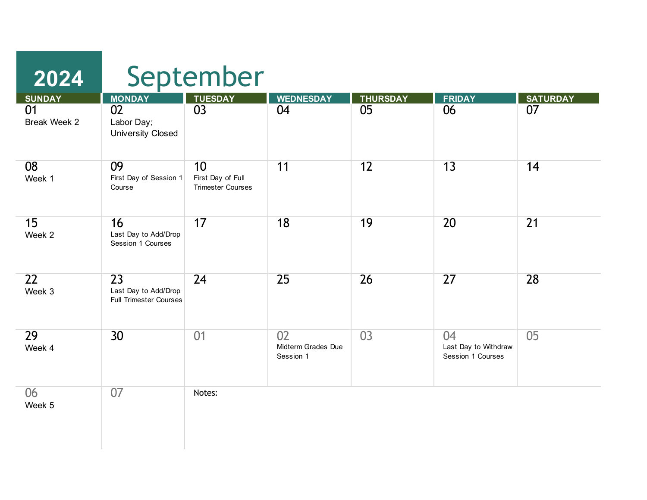| 2024                |                                                                          | September                                           |                                       |                       |                                                 |                       |
|---------------------|--------------------------------------------------------------------------|-----------------------------------------------------|---------------------------------------|-----------------------|-------------------------------------------------|-----------------------|
| <b>SUNDAY</b><br>01 | <b>MONDAY</b><br>02                                                      | <b>TUESDAY</b><br>03                                | <b>WEDNESDAY</b><br>04                | <b>THURSDAY</b><br>05 | <b>FRIDAY</b><br>06                             | <b>SATURDAY</b><br>07 |
| Break Week 2        | Labor Day;<br><b>University Closed</b>                                   |                                                     |                                       |                       |                                                 |                       |
| 08<br>Week 1        | 09<br>First Day of Session 1<br>Course                                   | 10<br>First Day of Full<br><b>Trimester Courses</b> | 11                                    | 12                    | 13                                              | 14                    |
| 15<br>Week 2        | 16<br>Last Day to Add/Drop<br>Session 1 Courses                          | 17                                                  | 18                                    | 19                    | 20                                              | 21                    |
| 22<br>Week 3        | $\overline{23}$<br>Last Day to Add/Drop<br><b>Full Trimester Courses</b> | 24                                                  | 25                                    | 26                    | 27                                              | 28                    |
| 29<br>Week 4        | 30 <sup>2</sup>                                                          | 01                                                  | 02<br>Midterm Grades Due<br>Session 1 | 03                    | 04<br>Last Day to Withdraw<br>Session 1 Courses | 05                    |
| 06<br>Week 5        | 07                                                                       | Notes:                                              |                                       |                       |                                                 |                       |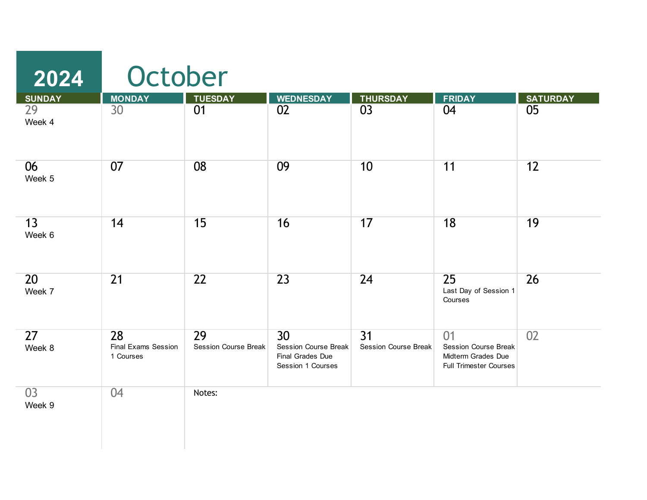| 2024<br><b>SUNDAY</b>     | October<br><b>MONDAY</b>               | <b>TUESDAY</b>                    | <b>WEDNESDAY</b>                                                                        | <b>THURSDAY</b>                   | <b>FRIDAY</b>                                                                            | <b>SATURDAY</b> |
|---------------------------|----------------------------------------|-----------------------------------|-----------------------------------------------------------------------------------------|-----------------------------------|------------------------------------------------------------------------------------------|-----------------|
| $\overline{29}$<br>Week 4 | 30                                     | $\overline{01}$                   | 02                                                                                      | $\overline{03}$                   | 04                                                                                       | 05              |
| 06<br>Week 5              | 07                                     | 08                                | 09                                                                                      | 10                                | 11                                                                                       | 12              |
| 13<br>Week 6              | 14                                     | 15                                | 16                                                                                      | 17                                | 18                                                                                       | 19              |
| 20<br>Week 7              | $\overline{21}$                        | 22                                | 23                                                                                      | $\overline{24}$                   | 25<br>Last Day of Session 1<br>Courses                                                   | 26              |
| $\overline{27}$<br>Week 8 | 28<br>Final Exams Session<br>1 Courses | 29<br><b>Session Course Break</b> | 30 <sup>°</sup><br><b>Session Course Break</b><br>Final Grades Due<br>Session 1 Courses | 31<br><b>Session Course Break</b> | 01<br><b>Session Course Break</b><br>Midterm Grades Due<br><b>Full Trimester Courses</b> | 02              |
| 03<br>Week 9              | 04                                     | Notes:                            |                                                                                         |                                   |                                                                                          |                 |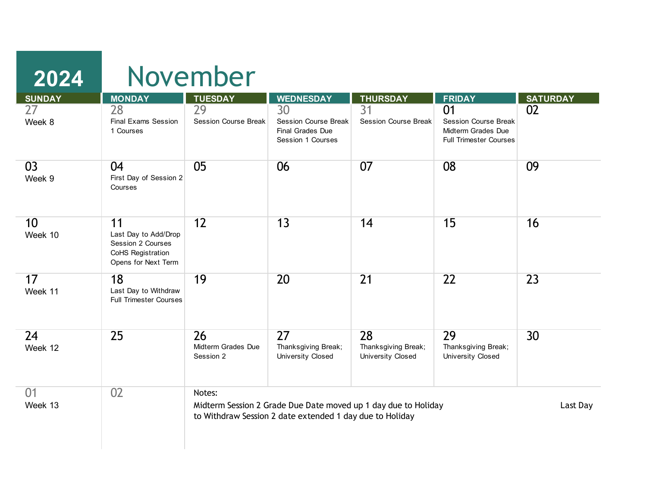| 2024          |                                                                                             | November                              |                                                                                                                            |                                                |                                                                                          |                 |
|---------------|---------------------------------------------------------------------------------------------|---------------------------------------|----------------------------------------------------------------------------------------------------------------------------|------------------------------------------------|------------------------------------------------------------------------------------------|-----------------|
| <b>SUNDAY</b> | <b>MONDAY</b>                                                                               | <b>TUESDAY</b>                        | <b>WEDNESDAY</b>                                                                                                           | <b>THURSDAY</b>                                | <b>FRIDAY</b>                                                                            | <b>SATURDAY</b> |
| 27<br>Week 8  | 28<br>Final Exams Session<br>1 Courses                                                      | 29<br><b>Session Course Break</b>     | 30<br><b>Session Course Break</b><br>Final Grades Due<br>Session 1 Courses                                                 | 31<br><b>Session Course Break</b>              | 01<br><b>Session Course Break</b><br>Midterm Grades Due<br><b>Full Trimester Courses</b> | 02              |
| 03<br>Week 9  | 04<br>First Day of Session 2<br>Courses                                                     | 05                                    | 06                                                                                                                         | 07                                             | 08                                                                                       | 09              |
| 10<br>Week 10 | 11<br>Last Day to Add/Drop<br>Session 2 Courses<br>CoHS Registration<br>Opens for Next Term | 12                                    | 13                                                                                                                         | 14                                             | 15                                                                                       | 16              |
| 17<br>Week 11 | 18<br>Last Day to Withdraw<br><b>Full Trimester Courses</b>                                 | 19                                    | 20                                                                                                                         | 21                                             | 22                                                                                       | 23              |
| 24<br>Week 12 | 25                                                                                          | 26<br>Midterm Grades Due<br>Session 2 | 27<br>Thanksgiving Break;<br>University Closed                                                                             | 28<br>Thanksgiving Break;<br>University Closed | 29<br>Thanksgiving Break;<br>University Closed                                           | 30              |
| 01<br>Week 13 | 02                                                                                          | Notes:                                | Midterm Session 2 Grade Due Date moved up 1 day due to Holiday<br>to Withdraw Session 2 date extended 1 day due to Holiday |                                                |                                                                                          | Last Day        |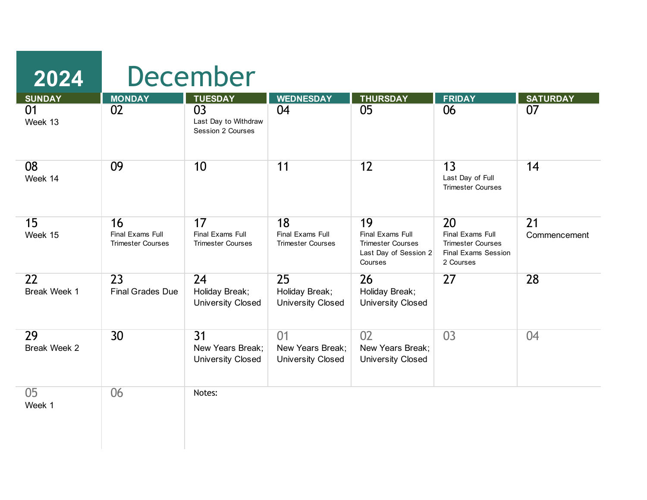| <b>SUNDAY</b>             | <b>MONDAY</b>                                      | <b>TUESDAY</b>                                                  | <b>WEDNESDAY</b>                                   | <b>THURSDAY</b>                                                                        | <b>FRIDAY</b>                                                                          | <b>SATURDAY</b>                 |
|---------------------------|----------------------------------------------------|-----------------------------------------------------------------|----------------------------------------------------|----------------------------------------------------------------------------------------|----------------------------------------------------------------------------------------|---------------------------------|
| 01<br>Week 13             | 02                                                 | 03<br>Last Day to Withdraw<br>Session 2 Courses                 | 04                                                 | 05                                                                                     | 06                                                                                     | 07                              |
| 08<br>Week 14             | 09                                                 | 10                                                              | 11                                                 | 12                                                                                     | 13<br>Last Day of Full<br><b>Trimester Courses</b>                                     | 14                              |
| 15<br>Week 15             | 16<br>Final Exams Full<br><b>Trimester Courses</b> | 17<br>Final Exams Full<br><b>Trimester Courses</b>              | 18<br>Final Exams Full<br><b>Trimester Courses</b> | 19<br>Final Exams Full<br><b>Trimester Courses</b><br>Last Day of Session 2<br>Courses | 20<br>Final Exams Full<br><b>Trimester Courses</b><br>Final Exams Session<br>2 Courses | $\overline{21}$<br>Commencement |
| 22<br><b>Break Week 1</b> | 23<br><b>Final Grades Due</b>                      | 24<br>Holiday Break;<br><b>University Closed</b>                | 25<br>Holiday Break;<br><b>University Closed</b>   | 26<br>Holiday Break;<br><b>University Closed</b>                                       | 27                                                                                     | 28                              |
| 29<br><b>Break Week 2</b> | 30                                                 | $\overline{31}$<br>New Years Break;<br><b>University Closed</b> | 01<br>New Years Break:<br><b>University Closed</b> | 02<br>New Years Break;<br><b>University Closed</b>                                     | $\overline{03}$                                                                        | 04                              |
| 05<br>Week 1              | 06                                                 | Notes:                                                          |                                                    |                                                                                        |                                                                                        |                                 |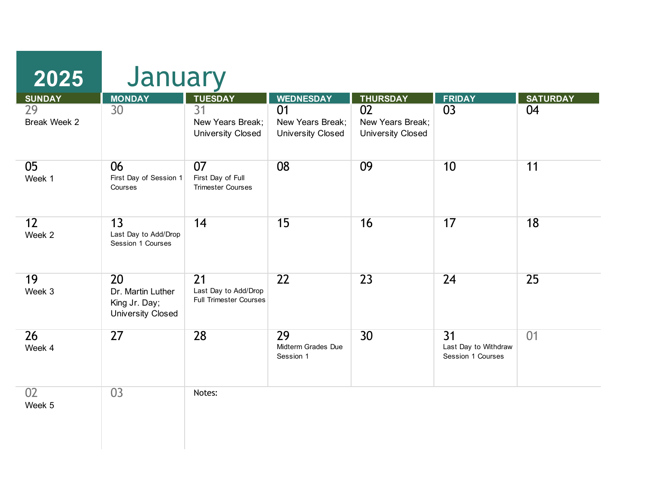| <b>SUNDAY</b>      | <b>MONDAY</b>                                                        | <b>TUESDAY</b>                                              | <b>WEDNESDAY</b>                                   | <b>THURSDAY</b>                                    | <b>FRIDAY</b>                                                | <b>SATURDAY</b> |
|--------------------|----------------------------------------------------------------------|-------------------------------------------------------------|----------------------------------------------------|----------------------------------------------------|--------------------------------------------------------------|-----------------|
| 29<br>Break Week 2 | 30                                                                   | 31<br>New Years Break;<br><b>University Closed</b>          | 01<br>New Years Break;<br><b>University Closed</b> | 02<br>New Years Break;<br><b>University Closed</b> | 03                                                           | 04              |
| 05<br>Week 1       | 06<br>First Day of Session 1<br>Courses                              | 07<br>First Day of Full<br><b>Trimester Courses</b>         | 08                                                 | 09                                                 | 10                                                           | 11              |
| 12<br>Week 2       | 13<br>Last Day to Add/Drop<br>Session 1 Courses                      | 14                                                          | 15                                                 | 16                                                 | 17                                                           | 18              |
| 19<br>Week 3       | 20<br>Dr. Martin Luther<br>King Jr. Day;<br><b>University Closed</b> | 21<br>Last Day to Add/Drop<br><b>Full Trimester Courses</b> | $\overline{22}$                                    | 23                                                 | 24                                                           | 25              |
| 26<br>Week 4       | 27                                                                   | 28                                                          | 29<br>Midterm Grades Due<br>Session 1              | 30                                                 | $\overline{31}$<br>Last Day to Withdraw<br>Session 1 Courses | 01              |
| 02<br>Week 5       | 03                                                                   | Notes:                                                      |                                                    |                                                    |                                                              |                 |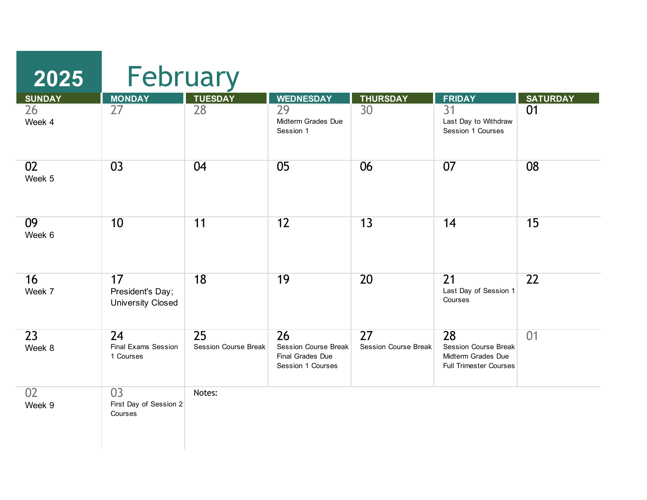| 2025                      | February                                             |                                                |                                                                     |                                                |                                                                                          |                 |  |  |
|---------------------------|------------------------------------------------------|------------------------------------------------|---------------------------------------------------------------------|------------------------------------------------|------------------------------------------------------------------------------------------|-----------------|--|--|
| <b>SUNDAY</b>             | <b>MONDAY</b>                                        | <b>TUESDAY</b>                                 | <b>WEDNESDAY</b>                                                    | <b>THURSDAY</b>                                | <b>FRIDAY</b>                                                                            | <b>SATURDAY</b> |  |  |
| 26<br>Week 4              | 27                                                   | 28                                             | 29<br>Midterm Grades Due<br>Session 1                               | 30 <sup>°</sup>                                | $\overline{31}$<br>Last Day to Withdraw<br>Session 1 Courses                             | 01              |  |  |
| 02<br>Week 5              | 03                                                   | 04                                             | 05                                                                  | 06                                             | 07                                                                                       | 08              |  |  |
| 09<br>Week 6              | 10                                                   | 11                                             | 12                                                                  | 13                                             | 14                                                                                       | 15              |  |  |
| 16<br>Week 7              | 17<br>President's Day;<br><b>University Closed</b>   | 18                                             | 19                                                                  | 20                                             | 21<br>Last Day of Session 1<br>Courses                                                   | 22              |  |  |
| $\overline{23}$<br>Week 8 | 24<br><b>Final Exams Session</b><br>1 Courses        | $\overline{25}$<br><b>Session Course Break</b> | 26<br>Session Course Break<br>Final Grades Due<br>Session 1 Courses | $\overline{27}$<br><b>Session Course Break</b> | 28<br><b>Session Course Break</b><br>Midterm Grades Due<br><b>Full Trimester Courses</b> | 01              |  |  |
| 02<br>Week 9              | $\overline{03}$<br>First Day of Session 2<br>Courses | Notes:                                         |                                                                     |                                                |                                                                                          |                 |  |  |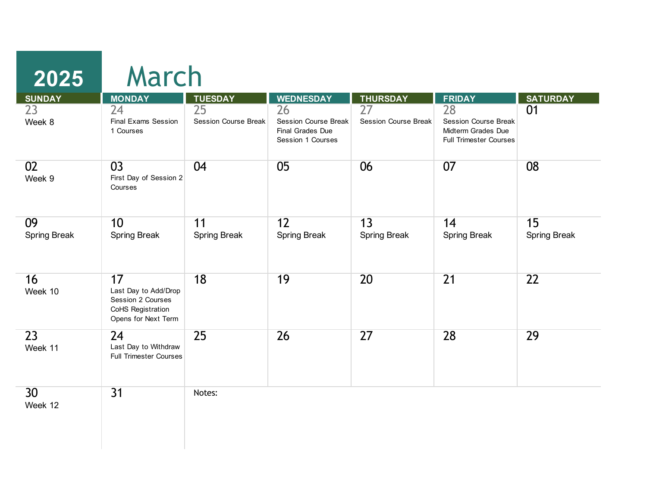| <b>SUNDAY</b>              | <b>MONDAY</b>                                                                               | <b>TUESDAY</b>                    | <b>WEDNESDAY</b>                                                           | <b>THURSDAY</b>                   | <b>FRIDAY</b>                                                                            | <b>SATURDAY</b>           |
|----------------------------|---------------------------------------------------------------------------------------------|-----------------------------------|----------------------------------------------------------------------------|-----------------------------------|------------------------------------------------------------------------------------------|---------------------------|
| 23<br>Week 8               | 24<br><b>Final Exams Session</b><br>1 Courses                                               | 25<br><b>Session Course Break</b> | 26<br><b>Session Course Break</b><br>Final Grades Due<br>Session 1 Courses | 27<br><b>Session Course Break</b> | 28<br><b>Session Course Break</b><br>Midterm Grades Due<br><b>Full Trimester Courses</b> | 01                        |
| 02<br>Week 9               | $\overline{03}$<br>First Day of Session 2<br>Courses                                        | 04                                | 05                                                                         | 06                                | 07                                                                                       | 08                        |
| 09<br><b>Spring Break</b>  | 10<br><b>Spring Break</b>                                                                   | 11<br><b>Spring Break</b>         | 12<br><b>Spring Break</b>                                                  | 13<br><b>Spring Break</b>         | 14<br><b>Spring Break</b>                                                                | 15<br><b>Spring Break</b> |
| 16<br>Week 10              | 17<br>Last Day to Add/Drop<br>Session 2 Courses<br>CoHS Registration<br>Opens for Next Term | 18                                | 19                                                                         | 20                                | $\overline{21}$                                                                          | $\overline{22}$           |
| 23<br>Week 11              | 24<br>Last Day to Withdraw<br><b>Full Trimester Courses</b>                                 | 25                                | 26                                                                         | 27                                | 28                                                                                       | 29                        |
| 30 <sup>°</sup><br>Week 12 | 31                                                                                          | Notes:                            |                                                                            |                                   |                                                                                          |                           |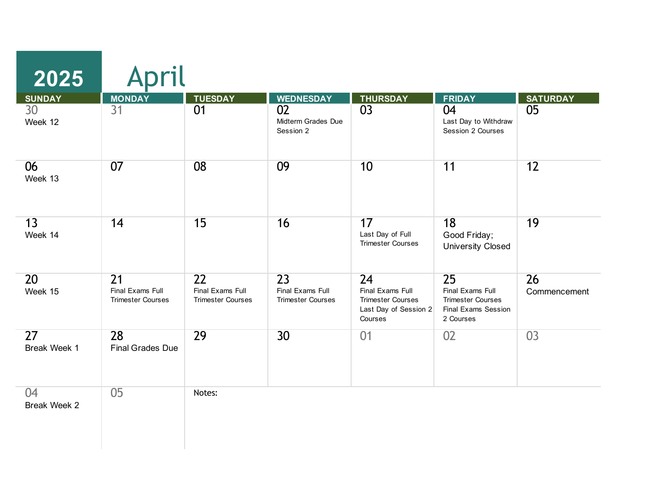| <b>SUNDAY</b>                   | <b>MONDAY</b>                                      | <b>TUESDAY</b>                                     | <b>WEDNESDAY</b>                                   | <b>THURSDAY</b>                                                                        | <b>FRIDAY</b>                                                                          | <b>SATURDAY</b>    |
|---------------------------------|----------------------------------------------------|----------------------------------------------------|----------------------------------------------------|----------------------------------------------------------------------------------------|----------------------------------------------------------------------------------------|--------------------|
| 30<br>Week 12                   | 31                                                 | 01                                                 | 02<br>Midterm Grades Due<br>Session 2              | 03                                                                                     | 04<br>Last Day to Withdraw<br>Session 2 Courses                                        | 05                 |
| 06<br>Week 13                   | 07                                                 | 08                                                 | 09                                                 | 10                                                                                     | 11                                                                                     | 12                 |
| 13<br>Week 14                   | 14                                                 | 15                                                 | 16                                                 | 17<br>Last Day of Full<br><b>Trimester Courses</b>                                     | 18<br>Good Friday;<br><b>University Closed</b>                                         | 19                 |
| 20<br>Week 15                   | 21<br>Final Exams Full<br><b>Trimester Courses</b> | 22<br>Final Exams Full<br><b>Trimester Courses</b> | 23<br>Final Exams Full<br><b>Trimester Courses</b> | 24<br>Final Exams Full<br><b>Trimester Courses</b><br>Last Day of Session 2<br>Courses | 25<br>Final Exams Full<br><b>Trimester Courses</b><br>Final Exams Session<br>2 Courses | 26<br>Commencement |
| $\overline{27}$<br>Break Week 1 | 28<br><b>Final Grades Due</b>                      | 29                                                 | 30                                                 | 01                                                                                     | 02                                                                                     | 03                 |
| 04<br>Break Week 2              | 05                                                 | Notes:                                             |                                                    |                                                                                        |                                                                                        |                    |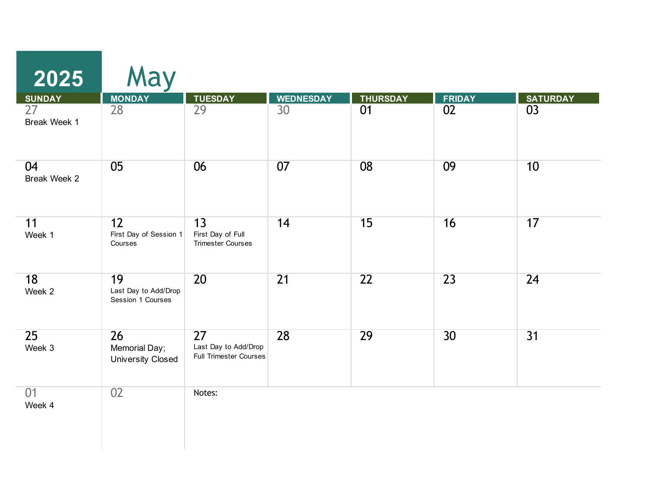| 2025                                | May                                             |                                                                  |                        |                       |                     |                       |
|-------------------------------------|-------------------------------------------------|------------------------------------------------------------------|------------------------|-----------------------|---------------------|-----------------------|
| <b>SUNDAY</b><br>27<br>Break Week 1 | <b>MONDAY</b><br>28                             | <b>TUESDAY</b><br>29                                             | <b>WEDNESDAY</b><br>30 | <b>THURSDAY</b><br>01 | <b>FRIDAY</b><br>02 | <b>SATURDAY</b><br>03 |
| 04<br>Break Week 2                  | 05                                              | 06                                                               | 07                     | 08                    | 09                  | 10                    |
| 11<br>Week 1                        | 12<br>First Day of Session 1<br>Courses         | $\overline{13}$<br>First Day of Full<br><b>Trimester Courses</b> | 14                     | 15                    | 16                  | 17                    |
| 18<br>Week 2                        | 19<br>Last Day to Add/Drop<br>Session 1 Courses | 20                                                               | $\overline{21}$        | 22                    | 23                  | 24                    |
| 25<br>Week 3                        | 26<br>Memorial Day;<br><b>University Closed</b> | 27<br>Last Day to Add/Drop<br><b>Full Trimester Courses</b>      | 28                     | 29                    | 30                  | $\overline{31}$       |
| 01<br>Week 4                        | 02                                              | Notes:                                                           |                        |                       |                     |                       |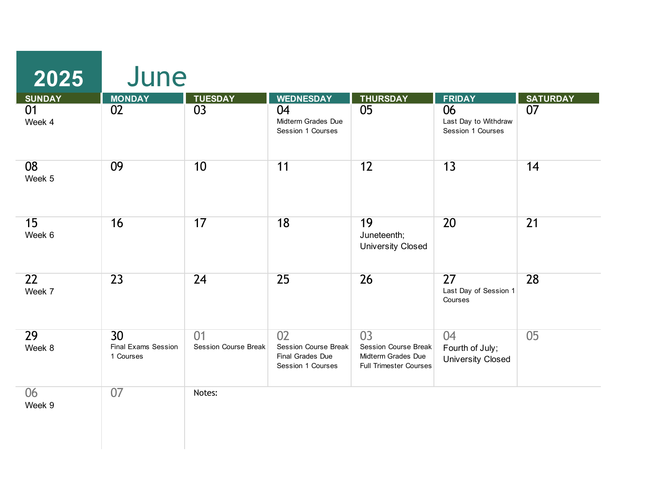| 2025          | June                                          |                                   |                                                                     |                                                                                          |                                                   |                 |
|---------------|-----------------------------------------------|-----------------------------------|---------------------------------------------------------------------|------------------------------------------------------------------------------------------|---------------------------------------------------|-----------------|
| <b>SUNDAY</b> | <b>MONDAY</b>                                 | <b>TUESDAY</b>                    | <b>WEDNESDAY</b>                                                    | <b>THURSDAY</b>                                                                          | <b>FRIDAY</b>                                     | <b>SATURDAY</b> |
| 01<br>Week 4  | 02                                            | 03                                | 04<br>Midterm Grades Due<br>Session 1 Courses                       | 05                                                                                       | 06<br>Last Day to Withdraw<br>Session 1 Courses   | 07              |
| 08<br>Week 5  | 09                                            | 10                                | 11                                                                  | 12                                                                                       | 13                                                | 14              |
| 15<br>Week 6  | 16                                            | 17                                | 18                                                                  | 19<br>Juneteenth;<br><b>University Closed</b>                                            | 20                                                | 21              |
| 22<br>Week 7  | $\overline{23}$                               | $\overline{24}$                   | 25                                                                  | $\overline{26}$                                                                          | 27<br>Last Day of Session 1<br>Courses            | 28              |
| 29<br>Week 8  | 30<br><b>Final Exams Session</b><br>1 Courses | 01<br><b>Session Course Break</b> | 02<br>Session Course Break<br>Final Grades Due<br>Session 1 Courses | 03<br><b>Session Course Break</b><br>Midterm Grades Due<br><b>Full Trimester Courses</b> | 04<br>Fourth of July;<br><b>University Closed</b> | 05              |
| 06<br>Week 9  | 07                                            | Notes:                            |                                                                     |                                                                                          |                                                   |                 |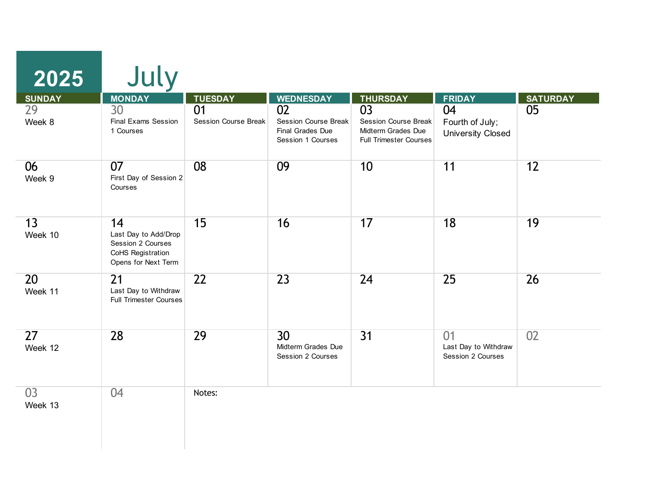| <b>SUNDAY</b> | <b>MONDAY</b>                                                                               | <b>TUESDAY</b>                    | <b>WEDNESDAY</b>                                                           | <b>THURSDAY</b>                                                                                | <b>FRIDAY</b>                                     | <b>SATURDAY</b> |
|---------------|---------------------------------------------------------------------------------------------|-----------------------------------|----------------------------------------------------------------------------|------------------------------------------------------------------------------------------------|---------------------------------------------------|-----------------|
| 29<br>Week 8  | 30<br><b>Final Exams Session</b><br>1 Courses                                               | 01<br><b>Session Course Break</b> | 02<br><b>Session Course Break</b><br>Final Grades Due<br>Session 1 Courses | $\overline{03}$<br>Session Course Break<br>Midterm Grades Due<br><b>Full Trimester Courses</b> | 04<br>Fourth of July;<br><b>University Closed</b> | 05              |
| 06<br>Week 9  | 07<br>First Day of Session 2<br>Courses                                                     | 08                                | 09                                                                         | 10                                                                                             | 11                                                | 12              |
| 13<br>Week 10 | 14<br>Last Day to Add/Drop<br>Session 2 Courses<br>CoHS Registration<br>Opens for Next Term | 15                                | 16                                                                         | 17                                                                                             | 18                                                | 19              |
| 20<br>Week 11 | $\overline{21}$<br>Last Day to Withdraw<br><b>Full Trimester Courses</b>                    | 22                                | 23                                                                         | 24                                                                                             | 25                                                | 26              |
| 27<br>Week 12 | 28                                                                                          | 29                                | 30<br>Midterm Grades Due<br>Session 2 Courses                              | $\overline{31}$                                                                                | 01<br>Last Day to Withdraw<br>Session 2 Courses   | 02              |
| 03<br>Week 13 | 04                                                                                          | Notes:                            |                                                                            |                                                                                                |                                                   |                 |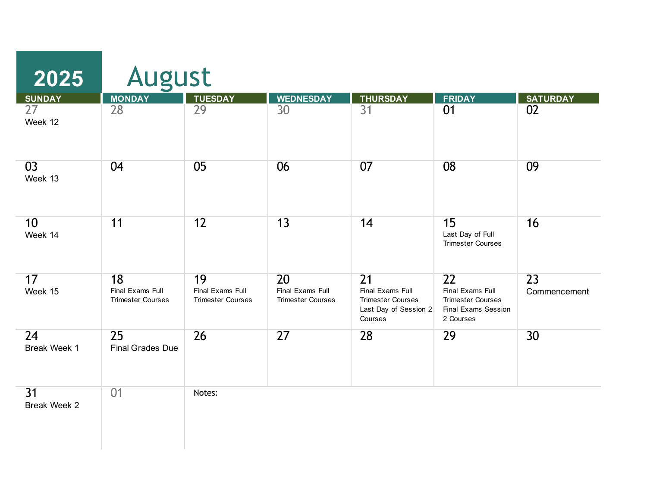| 2025                            | <b>August</b>                                      |                                                    |                                                    |                                                                                                     |                                                                                                     |                    |  |  |
|---------------------------------|----------------------------------------------------|----------------------------------------------------|----------------------------------------------------|-----------------------------------------------------------------------------------------------------|-----------------------------------------------------------------------------------------------------|--------------------|--|--|
| <b>SUNDAY</b>                   | <b>MONDAY</b>                                      | <b>TUESDAY</b>                                     | <b>WEDNESDAY</b>                                   | <b>THURSDAY</b>                                                                                     | <b>FRIDAY</b>                                                                                       | <b>SATURDAY</b>    |  |  |
| $\overline{27}$<br>Week 12      | $\overline{28}$                                    | $\overline{29}$                                    | 30                                                 | $\overline{31}$                                                                                     | 01                                                                                                  | $\overline{02}$    |  |  |
| 03<br>Week 13                   | 04                                                 | 05                                                 | 06                                                 | 07                                                                                                  | 08                                                                                                  | 09                 |  |  |
| 10 <sup>1</sup><br>Week 14      | 11                                                 | $\overline{12}$                                    | 13                                                 | 14                                                                                                  | 15<br>Last Day of Full<br><b>Trimester Courses</b>                                                  | 16                 |  |  |
| 17<br>Week 15                   | 18<br>Final Exams Full<br><b>Trimester Courses</b> | 19<br>Final Exams Full<br><b>Trimester Courses</b> | 20<br>Final Exams Full<br><b>Trimester Courses</b> | $\overline{21}$<br>Final Exams Full<br><b>Trimester Courses</b><br>Last Day of Session 2<br>Courses | $\overline{22}$<br>Final Exams Full<br><b>Trimester Courses</b><br>Final Exams Session<br>2 Courses | 23<br>Commencement |  |  |
| 24<br>Break Week 1              | 25<br><b>Final Grades Due</b>                      | $\overline{26}$                                    | 27                                                 | 28                                                                                                  | 29                                                                                                  | 30                 |  |  |
| $\overline{31}$<br>Break Week 2 | 01                                                 | Notes:                                             |                                                    |                                                                                                     |                                                                                                     |                    |  |  |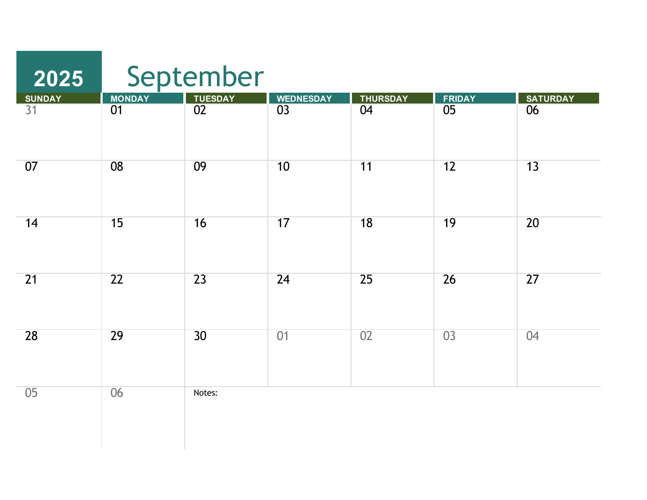| 2025                |                     | September                         |                                     |                       |                     |                       |  |  |  |
|---------------------|---------------------|-----------------------------------|-------------------------------------|-----------------------|---------------------|-----------------------|--|--|--|
| <b>SUNDAY</b><br>31 | <b>MONDAY</b><br>01 | <b>TUESDAY</b><br>$\overline{02}$ | <b>WEDNESDAY</b><br>$\overline{03}$ | <b>THURSDAY</b><br>04 | <b>FRIDAY</b><br>05 | <b>SATURDAY</b><br>06 |  |  |  |
|                     |                     |                                   |                                     |                       |                     |                       |  |  |  |
| 07                  | 08                  | 09                                | 10                                  | 11                    | 12                  | 13                    |  |  |  |
| 14                  | 15                  | 16                                | 17                                  | 18                    | 19                  | 20                    |  |  |  |
| $\overline{21}$     | 22                  | 23                                | 24                                  | 25                    | 26                  | 27                    |  |  |  |
| 28                  | 29                  | 30                                | 01                                  | 02                    | 03                  | 04                    |  |  |  |
| 05                  | 06                  | Notes:                            |                                     |                       |                     |                       |  |  |  |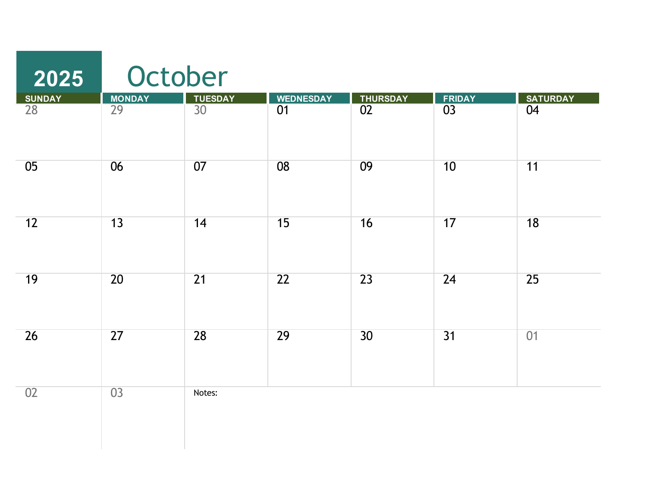| 2025            |                 | October         |                  |                 |              |                 |
|-----------------|-----------------|-----------------|------------------|-----------------|--------------|-----------------|
| <b>SUNDAY</b>   |                 | <b>TUESDAY</b>  | <b>WEDNESDAY</b> | <b>THURSDAY</b> |              | <b>SATURDAY</b> |
| $\overline{28}$ | MONDAY<br>29    | $\overline{30}$ | $\overline{01}$  | $\overline{02}$ | FRIDAY<br>03 | $\overline{04}$ |
| 05              | 06              | 07              | 08               | 09              | 10           | 11              |
| 12              | 13              | 14              | 15               | 16              | 17           | 18              |
| 19              | 20              | $\overline{21}$ | 22               | 23              | 24           | 25              |
| 26              | 27              | 28              | 29               | 30              | 31           | 01              |
| 02              | $\overline{03}$ | Notes:          |                  |                 |              |                 |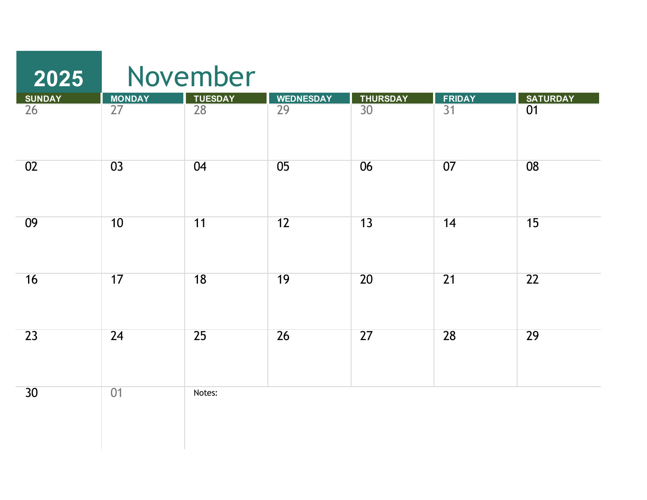| 2025            |                 | November        |                  |                 |                 |                 |  |  |  |
|-----------------|-----------------|-----------------|------------------|-----------------|-----------------|-----------------|--|--|--|
| <b>SUNDAY</b>   |                 | <b>TUESDAY</b>  | <b>WEDNESDAY</b> | <b>THURSDAY</b> | <b>FRIDAY</b>   | <b>SATURDAY</b> |  |  |  |
| $\overline{26}$ | MONDAY<br>27    | $\overline{28}$ | $\overline{29}$  | $\overline{30}$ | $\overline{31}$ | 01              |  |  |  |
| 02              | 03              | 04              | 05               | 06              | 07              | 08              |  |  |  |
| 09              | 10              | 11              | 12               | 13              | 14              | 15              |  |  |  |
| 16              | 17              | 18              | 19               | 20              | 21              | $\overline{22}$ |  |  |  |
| 23              | $\overline{24}$ | 25              | $\overline{26}$  | 27              | 28              | 29              |  |  |  |
| 30              | 01              | Notes:          |                  |                 |                 |                 |  |  |  |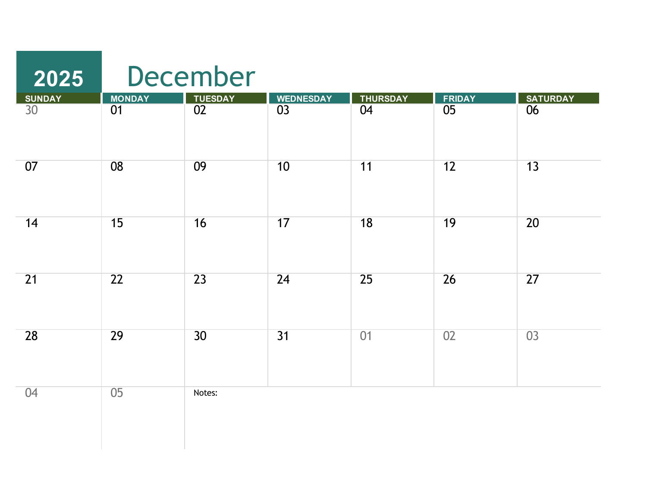| 2025                             |                                  | December                          |                                     |                       |                                  |                       |
|----------------------------------|----------------------------------|-----------------------------------|-------------------------------------|-----------------------|----------------------------------|-----------------------|
| <b>SUNDAY</b><br>30 <sup>°</sup> | <b>MONDAY</b><br>$\overline{01}$ | <b>TUESDAY</b><br>$\overline{02}$ | <b>WEDNESDAY</b><br>$\overline{03}$ | <b>THURSDAY</b><br>04 | <b>FRIDAY</b><br>$\overline{05}$ | <b>SATURDAY</b><br>06 |
| 07                               | 08                               | 09                                | 10                                  | 11                    | 12                               | $\overline{13}$       |
| 14                               | 15                               | 16                                | 17                                  | $\overline{18}$       | 19                               | $\overline{20}$       |
| 21                               | $\overline{22}$                  | $\overline{23}$                   | 24                                  | 25                    | 26                               | $\overline{27}$       |
| 28                               | 29                               | 30                                | $\overline{31}$                     | 01                    | 02                               | $\overline{03}$       |
| 04                               | 05                               | Notes:                            |                                     |                       |                                  |                       |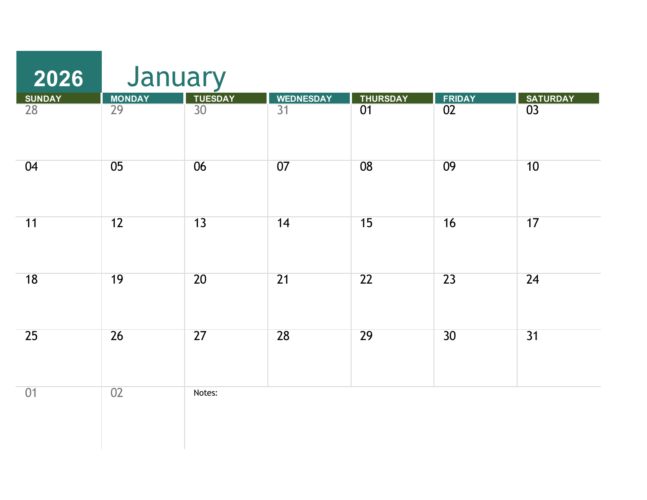| 2026                             | January      |                 |                                     |                                    |                 |                                    |
|----------------------------------|--------------|-----------------|-------------------------------------|------------------------------------|-----------------|------------------------------------|
| <b>SUNDAY</b><br>$\overline{28}$ | MONDAY<br>29 | TUESDAY         | <b>WEDNESDAY</b><br>$\overline{31}$ | <b>THURSDAY</b><br>$\overline{01}$ | FRIDAY<br>02    | <b>SATURDAY</b><br>$\overline{03}$ |
| 04                               | 05           | 06              | 07                                  | 08                                 | 09              | 10                                 |
| 11                               | 12           | 13              | 14                                  | 15                                 | 16              | 17                                 |
| 18                               | 19           | 20              | $\overline{21}$                     | 22                                 | 23              | $\overline{24}$                    |
| 25                               | 26           | $\overline{27}$ | 28                                  | 29                                 | $\overline{30}$ | $\overline{31}$                    |
| 01                               | 02           | Notes:          |                                     |                                    |                 |                                    |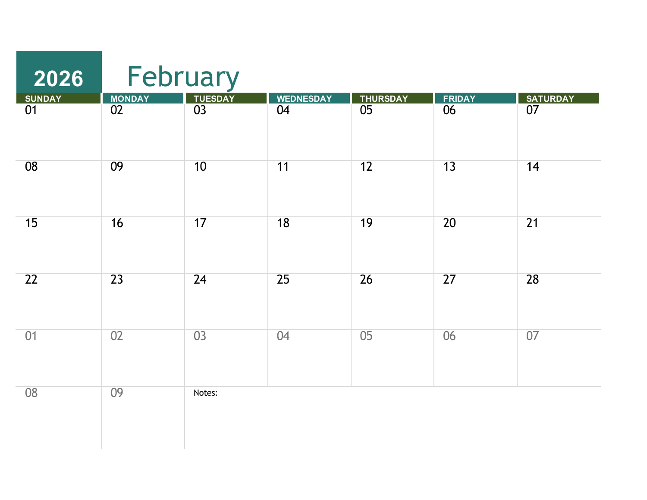| 2026            | February     |                 |                  |                 |                 |                 |
|-----------------|--------------|-----------------|------------------|-----------------|-----------------|-----------------|
| <b>SUNDAY</b>   |              | <b>TUESDAY</b>  | <b>WEDNESDAY</b> | <b>THURSDAY</b> | <b>FRIDAY</b>   | <b>SATURDAY</b> |
| $\overline{01}$ | MONDAY<br>02 | $\overline{03}$ | $\overline{04}$  | $\overline{05}$ | $\overline{06}$ | $\overline{07}$ |
| 08              | 09           | 10              | 11               | 12              | 13              | 14              |
| 15              | 16           | 17              | 18               | 19              | $\overline{20}$ | $\overline{21}$ |
| 22              | 23           | 24              | 25               | 26              | 27              | 28              |
| 01              | 02           | $\overline{03}$ | 04               | $\overline{05}$ | $\overline{06}$ | 07              |
| 08              | 09           | Notes:          |                  |                 |                 |                 |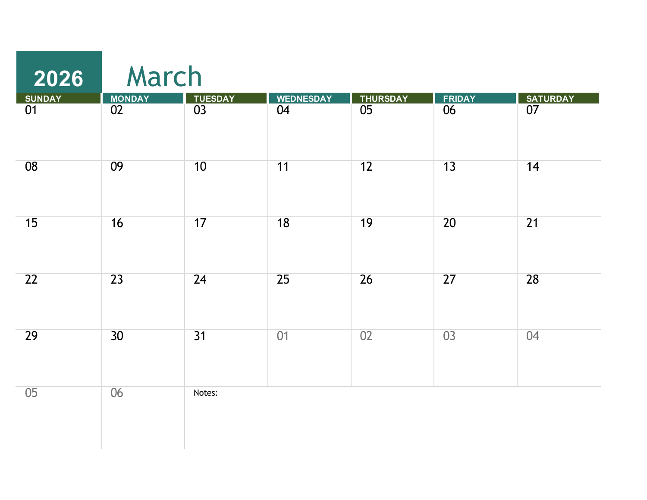| 2026          | March           |                |                  |                 |               |                 |
|---------------|-----------------|----------------|------------------|-----------------|---------------|-----------------|
| <b>SUNDAY</b> | <b>MONDAY</b>   | <b>TUESDAY</b> | <b>WEDNESDAY</b> | <b>THURSDAY</b> | <b>FRIDAY</b> | <b>SATURDAY</b> |
| 01            | $\overline{02}$ | 03             | 04               | 05              | 06            | 07              |
| 08            | 09              | 10             | 11               | $\overline{12}$ | 13            | 14              |
| 15            | 16              | 17             | 18               | $\overline{19}$ | 20            | $\overline{21}$ |
| 22            | $\overline{23}$ | 24             | $\overline{25}$  | 26              | 27            | 28              |
| 29            | 30              | 31             | 01               | 02              | 03            | 04              |
| 05            | 06              | Notes:         |                  |                 |               |                 |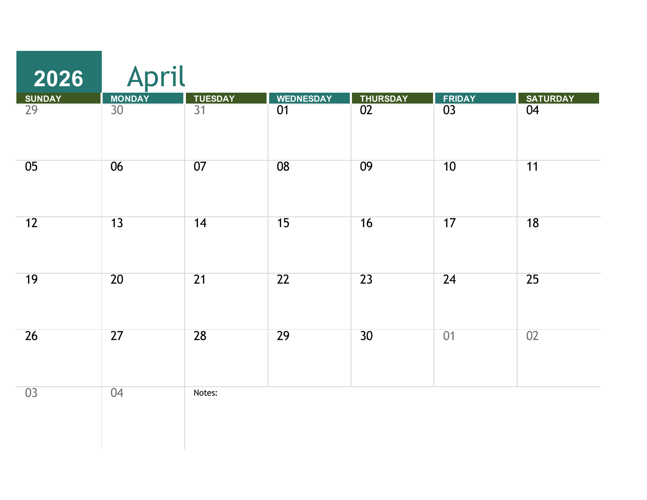| 2026                | April               |                                   |                        |                       |                     |                       |
|---------------------|---------------------|-----------------------------------|------------------------|-----------------------|---------------------|-----------------------|
| <b>SUNDAY</b><br>29 | <b>MONDAY</b><br>30 | <b>TUESDAY</b><br>$\overline{31}$ | <b>WEDNESDAY</b><br>01 | <b>THURSDAY</b><br>02 | <b>FRIDAY</b><br>03 | <b>SATURDAY</b><br>04 |
| 05                  | 06                  | 07                                | $\overline{08}$        | 09                    | 10                  | 11                    |
| 12                  | 13                  | 14                                | 15                     | 16                    | 17                  | $\overline{18}$       |
| 19                  | 20                  | $\overline{21}$                   | $\overline{22}$        | 23                    | 24                  | 25                    |
| 26                  | 27                  | 28                                | 29                     | 30                    | 01                  | 02                    |
| 03                  | 04                  | Notes:                            |                        |                       |                     |                       |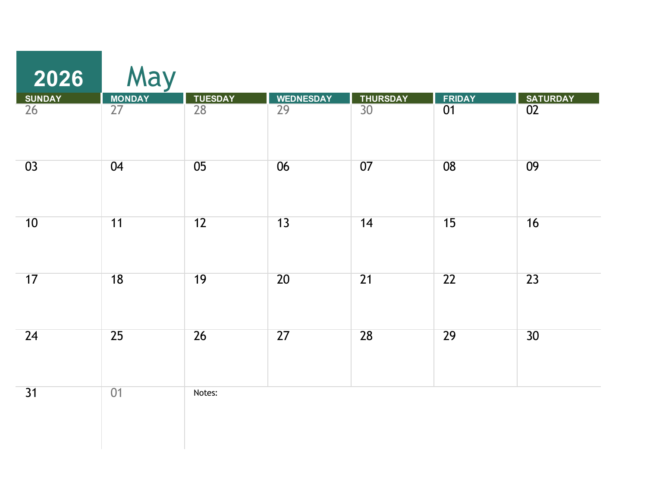| 2026                | May                 |                                   |                        |                       |                     |                       |
|---------------------|---------------------|-----------------------------------|------------------------|-----------------------|---------------------|-----------------------|
| <b>SUNDAY</b><br>26 | <b>MONDAY</b><br>27 | <b>TUESDAY</b><br>$\overline{28}$ | <b>WEDNESDAY</b><br>29 | <b>THURSDAY</b><br>30 | <b>FRIDAY</b><br>01 | <b>SATURDAY</b><br>02 |
|                     |                     |                                   |                        |                       |                     |                       |
| 03                  | 04                  | 05                                | 06                     | 07                    | $\overline{08}$     | 09                    |
| 10                  | 11                  | 12                                | 13                     | 14                    | 15                  | 16                    |
| 17                  | $\overline{18}$     | $\overline{19}$                   | $\overline{20}$        | $\overline{21}$       | $\overline{22}$     | $\overline{23}$       |
| 24                  | $\overline{25}$     | $\overline{26}$                   | $\overline{27}$        | 28                    | 29                  | $\overline{30}$       |
| 31                  | 01                  | Notes:                            |                        |                       |                     |                       |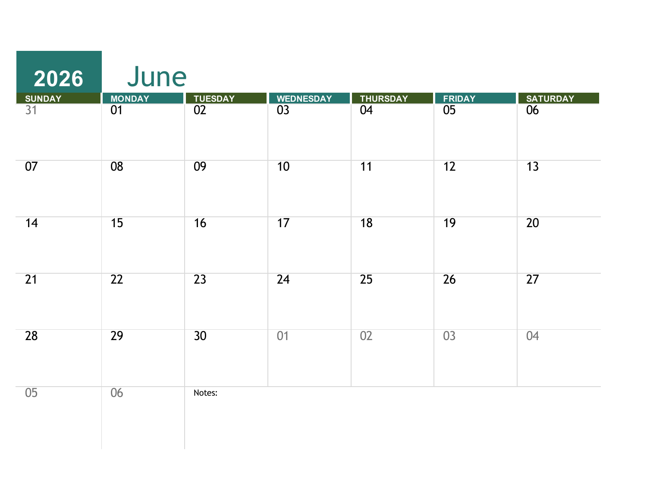| 2026          | June            |                 |                  |                 |                 |                 |
|---------------|-----------------|-----------------|------------------|-----------------|-----------------|-----------------|
| <b>SUNDAY</b> | <b>MONDAY</b>   | <b>TUESDAY</b>  | <b>WEDNESDAY</b> | <b>THURSDAY</b> | <b>FRIDAY</b>   | <b>SATURDAY</b> |
| 31            | 01              | $\overline{02}$ | 03               | 04              | $\overline{05}$ | 06              |
| 07            | 08              | 09              | 10               | 11              | 12              | 13              |
| 14            | 15              | 16              | 17               | 18              | 19              | $\overline{20}$ |
| 21            | $\overline{22}$ | $\overline{23}$ | 24               | $\overline{25}$ | $\overline{26}$ | $\overline{27}$ |
| 28            | 29              | 30              | 01               | 02              | 03              | 04              |
| 05            | 06              | Notes:          |                  |                 |                 |                 |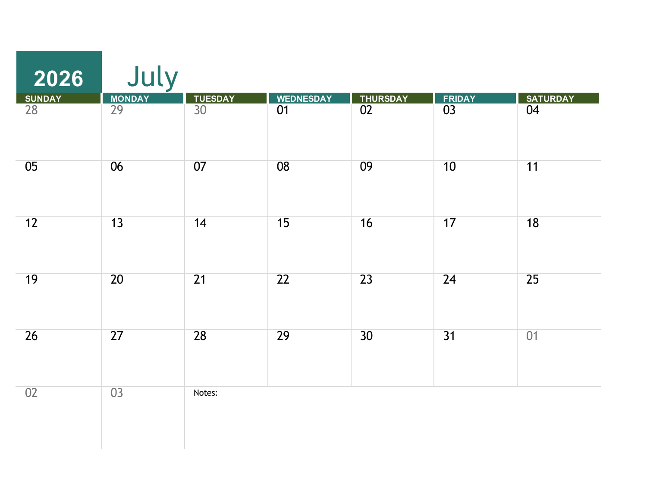| 2026          | July            |                 |                  |                 |                 |                 |
|---------------|-----------------|-----------------|------------------|-----------------|-----------------|-----------------|
| <b>SUNDAY</b> | <b>MONDAY</b>   | <b>TUESDAY</b>  | <b>WEDNESDAY</b> | <b>THURSDAY</b> | <b>FRIDAY</b>   | <b>SATURDAY</b> |
| 28            | $\overline{29}$ | $\overline{30}$ | $\overline{01}$  | $\overline{02}$ | $\overline{03}$ | 04              |
| 05            | 06              | 07              | $\overline{08}$  | 09              | 10              | 11              |
| 12            | 13              | 14              | 15               | 16              | 17              | 18              |
| 19            | 20              | $\overline{21}$ | $\overline{22}$  | 23              | 24              | $\overline{25}$ |
| 26            | $\overline{27}$ | 28              | 29               | $\overline{30}$ | $\overline{31}$ | 01              |
| 02            | $\overline{03}$ | Notes:          |                  |                 |                 |                 |